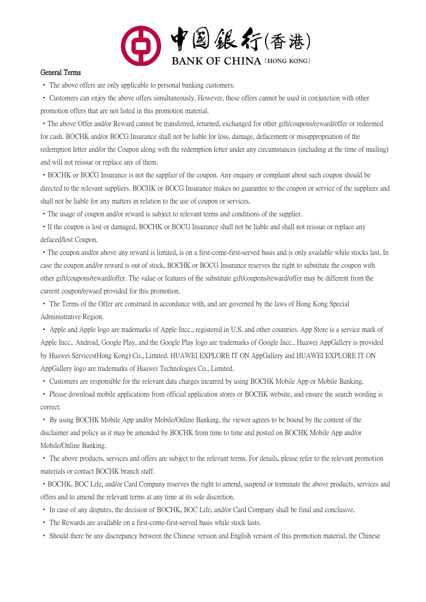

#### General Terms

• The above offers are only applicable to personal banking customers.

• Customers can enjoy the above offers simultaneously. However, these offers cannot be used in conjunction with other promotion offers that are not listed in this promotion material.

•The above Offer and/or Reward cannot be transferred, returned, exchanged for other gift/coupons/reward/offer or redeemed for cash. BOCHK and/or BOCG Insurance shall not be liable for loss, damage, defacement or misappropriation of the redemption letter and/or the Coupon along with the redemption letter under any circumstances (including at the time of mailing) and will not reissue or replace any of them.

•BOCHK or BOCG Insurance is not the supplier of the coupon. Any enquiry or complaint about such coupon should be directed to the relevant suppliers. BOCHK or BOCG Insurance makes no guarantee to the coupon or service of the suppliers and shall not be liable for any matters in relation to the use of coupon or services.

•The usage of coupon and/or reward is subject to relevant terms and conditions of the supplier.

• If the coupon is lost or damaged, BOCHK or BOCG Insurance shall not be liable and shall not reissue or replace any defaced/lost Coupon.

•The coupon and/or above any reward is limited, is on a first-come-first-served basis and is only available while stocks last. In case the coupon and/or reward is out of stock, BOCHK or BOCG Insurance reserves the right to substitute the coupon with other gift/coupons/reward/offer. The value or features of the substitute gift/coupons/reward/offer may be different from the current coupon/reward provided for this promotion.

• The Terms of the Offer are construed in accordance with, and are governed by the laws of Hong Kong Special Administrative Region.

• Apple and Apple logo are trademarks of Apple Incc., registered in U.S. and other countries. App Store is a service mark of Apple Incc.. Android, Google Play, and the Google Play logo are trademarks of Google Incc.. Huawei AppGallery is provided by Huawei Services(Hong Kong) Co., Limited. HUAWEI EXPLORE IT ON AppGallery and HUAWEI EXPLORE IT ON AppGallery logo are trademarks of Huawei Technologies Co., Limited.

• Customers are responsible for the relevant data charges incurred by using BOCHK Mobile App or Mobile Banking.

• Please download mobile applications from official application stores or BOCHK website, and ensure the search wording is correct.

• By using BOCHK Mobile App and/or Mobile/Online Banking, the viewer agrees to be bound by the content of the disclaimer and policy as it may be amended by BOCHK from time to time and posted on BOCHK Mobile App and/or Mobile/Online Banking.

• The above products, services and offers are subject to the relevant terms. For details, please refer to the relevant promotion materials or contact BOCHK branch staff.

•BOCHK, BOC Life, and/or Card Company reserves the right to amend, suspend or terminate the above products, services and offers and to amend the relevant terms at any time at its sole discretion.

- In case of any disputes, the decision of BOCHK, BOC Life, and/or Card Company shall be final and conclusive.
- The Rewards are available on a first-come-first-served basis while stock lasts.
- Should there be any discrepancy between the Chinese version and English version of this promotion material, the Chinese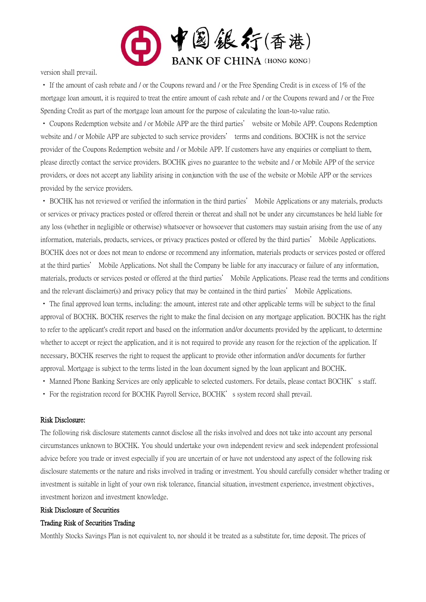

version shall prevail.

• If the amount of cash rebate and / or the Coupons reward and / or the Free Spending Credit is in excess of 1% of the mortgage loan amount, it is required to treat the entire amount of cash rebate and / or the Coupons reward and / or the Free Spending Credit as part of the mortgage loan amount for the purpose of calculating the loan-to-value ratio.

• Coupons Redemption website and / or Mobile APP are the third parties' website or Mobile APP. Coupons Redemption website and / or Mobile APP are subjected to such service providers' terms and conditions. BOCHK is not the service provider of the Coupons Redemption website and / or Mobile APP. If customers have any enquiries or compliant to them, please directly contact the service providers. BOCHK gives no guarantee to the website and / or Mobile APP of the service providers, or does not accept any liability arising in conjunction with the use of the website or Mobile APP or the services provided by the service providers.

• BOCHK has not reviewed or verified the information in the third parties' Mobile Applications or any materials, products or services or privacy practices posted or offered therein or thereat and shall not be under any circumstances be held liable for any loss (whether in negligible or otherwise) whatsoever or howsoever that customers may sustain arising from the use of any information, materials, products, services, or privacy practices posted or offered by the third parties' Mobile Applications. BOCHK does not or does not mean to endorse or recommend any information, materials products or services posted or offered at the third parties' Mobile Applications. Not shall the Company be liable for any inaccuracy or failure of any information, materials, products or services posted or offered at the third parties' Mobile Applications. Please read the terms and conditions and the relevant disclaimer(s) and privacy policy that may be contained in the third parties' Mobile Applications.

• The final approved loan terms, including: the amount, interest rate and other applicable terms will be subject to the final approval of BOCHK. BOCHK reserves the right to make the final decision on any mortgage application. BOCHK has the right to refer to the applicant's credit report and based on the information and/or documents provided by the applicant, to determine whether to accept or reject the application, and it is not required to provide any reason for the rejection of the application. If necessary, BOCHK reserves the right to request the applicant to provide other information and/or documents for further approval. Mortgage is subject to the terms listed in the loan document signed by the loan applicant and BOCHK.

- Manned Phone Banking Services are only applicable to selected customers. For details, please contact BOCHK's staff.
- For the registration record for BOCHK Payroll Service, BOCHK's system record shall prevail.

#### Risk Disclosure:

The following risk disclosure statements cannot disclose all the risks involved and does not take into account any personal circumstances unknown to BOCHK. You should undertake your own independent review and seek independent professional advice before you trade or invest especially if you are uncertain of or have not understood any aspect of the following risk disclosure statements or the nature and risks involved in trading or investment. You should carefully consider whether trading or investment is suitable in light of your own risk tolerance, financial situation, investment experience, investment objectives, investment horizon and investment knowledge.

#### Risk Disclosure of Securities

#### Trading Risk of Securities Trading

Monthly Stocks Savings Plan is not equivalent to, nor should it be treated as a substitute for, time deposit. The prices of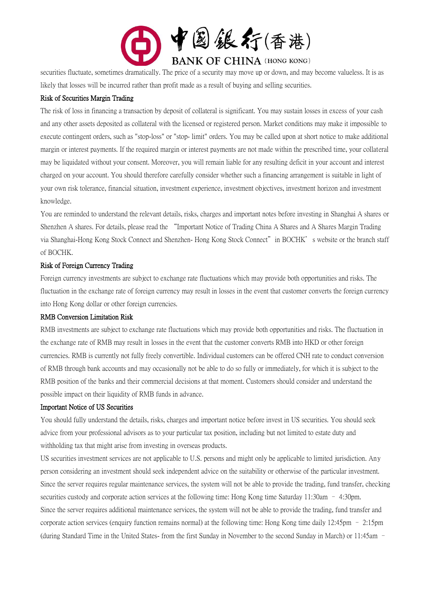

securities fluctuate, sometimes dramatically. The price of a security may move up or down, and may become valueless. It is as likely that losses will be incurred rather than profit made as a result of buying and selling securities.

#### Risk of Securities Margin Trading

The risk of loss in financing a transaction by deposit of collateral is significant. You may sustain losses in excess of your cash and any other assets deposited as collateral with the licensed or registered person. Market conditions may make it impossible to execute contingent orders, such as "stop-loss" or "stop- limit" orders. You may be called upon at short notice to make additional margin or interest payments. If the required margin or interest payments are not made within the prescribed time, your collateral may be liquidated without your consent. Moreover, you will remain liable for any resulting deficit in your account and interest charged on your account. You should therefore carefully consider whether such a financing arrangement is suitable in light of your own risk tolerance, financial situation, investment experience, investment objectives, investment horizon and investment knowledge.

You are reminded to understand the relevant details, risks, charges and important notes before investing in Shanghai A shares or Shenzhen A shares. For details, please read the "Important Notice of Trading China A Shares and A Shares Margin Trading via Shanghai-Hong Kong Stock Connect and Shenzhen- Hong Kong Stock Connect" in BOCHK's website or the branch staff of BOCHK.

### Risk of Foreign Currency Trading

Foreign currency investments are subject to exchange rate fluctuations which may provide both opportunities and risks. The fluctuation in the exchange rate of foreign currency may result in losses in the event that customer converts the foreign currency into Hong Kong dollar or other foreign currencies.

#### RMB Conversion Limitation Risk

RMB investments are subject to exchange rate fluctuations which may provide both opportunities and risks. The fluctuation in the exchange rate of RMB may result in losses in the event that the customer converts RMB into HKD or other foreign currencies. RMB is currently not fully freely convertible. Individual customers can be offered CNH rate to conduct conversion of RMB through bank accounts and may occasionally not be able to do so fully or immediately, for which it is subject to the RMB position of the banks and their commercial decisions at that moment. Customers should consider and understand the possible impact on their liquidity of RMB funds in advance.

#### Important Notice of US Securities

You should fully understand the details, risks, charges and important notice before invest in US securities. You should seek advice from your professional advisors as to your particular tax position, including but not limited to estate duty and withholding tax that might arise from investing in overseas products.

US securities investment services are not applicable to U.S. persons and might only be applicable to limited jurisdiction. Any person considering an investment should seek independent advice on the suitability or otherwise of the particular investment. Since the server requires regular maintenance services, the system will not be able to provide the trading, fund transfer, checking securities custody and corporate action services at the following time: Hong Kong time Saturday 11:30am – 4:30pm. Since the server requires additional maintenance services, the system will not be able to provide the trading, fund transfer and corporate action services (enquiry function remains normal) at the following time: Hong Kong time daily 12:45pm – 2:15pm (during Standard Time in the United States- from the first Sunday in November to the second Sunday in March) or 11:45am –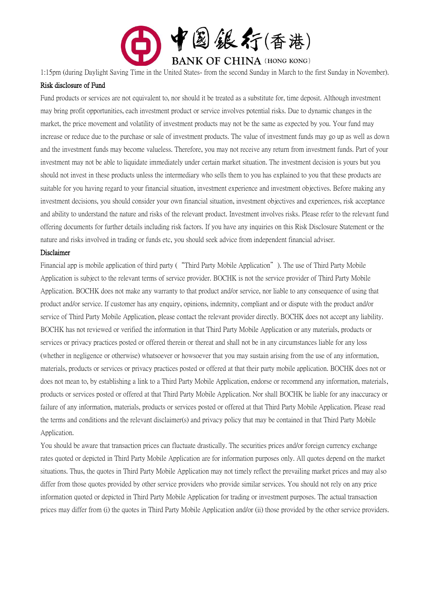

1:15pm (during Daylight Saving Time in the United States- from the second Sunday in March to the first Sunday in November).

#### Risk disclosure of Fund

Fund products or services are not equivalent to, nor should it be treated as a substitute for, time deposit. Although investment may bring profit opportunities, each investment product or service involves potential risks. Due to dynamic changes in the market, the price movement and volatility of investment products may not be the same as expected by you. Your fund may increase or reduce due to the purchase or sale of investment products. The value of investment funds may go up as well as down and the investment funds may become valueless. Therefore, you may not receive any return from investment funds. Part of your investment may not be able to liquidate immediately under certain market situation. The investment decision is yours but you should not invest in these products unless the intermediary who sells them to you has explained to you that these products are suitable for you having regard to your financial situation, investment experience and investment objectives. Before making any investment decisions, you should consider your own financial situation, investment objectives and experiences, risk acceptance and ability to understand the nature and risks of the relevant product. Investment involves risks. Please refer to the relevant fund offering documents for further details including risk factors. If you have any inquiries on this Risk Disclosure Statement or the nature and risks involved in trading or funds etc, you should seek advice from independent financial adviser.

#### Disclaimer

Financial app is mobile application of third party ("Third Party Mobile Application"). The use of Third Party Mobile Application is subject to the relevant terms of service provider. BOCHK is not the service provider of Third Party Mobile Application. BOCHK does not make any warranty to that product and/or service, nor liable to any consequence of using that product and/or service. If customer has any enquiry, opinions, indemnity, compliant and or dispute with the product and/or service of Third Party Mobile Application, please contact the relevant provider directly. BOCHK does not accept any liability. BOCHK has not reviewed or verified the information in that Third Party Mobile Application or any materials, products or services or privacy practices posted or offered therein or thereat and shall not be in any circumstances liable for any loss (whether in negligence or otherwise) whatsoever or howsoever that you may sustain arising from the use of any information, materials, products or services or privacy practices posted or offered at that their party mobile application. BOCHK does not or does not mean to, by establishing a link to a Third Party Mobile Application, endorse or recommend any information, materials, products or services posted or offered at that Third Party Mobile Application. Nor shall BOCHK be liable for any inaccuracy or failure of any information, materials, products or services posted or offered at that Third Party Mobile Application. Please read the terms and conditions and the relevant disclaimer(s) and privacy policy that may be contained in that Third Party Mobile Application.

You should be aware that transaction prices can fluctuate drastically. The securities prices and/or foreign currency exchange rates quoted or depicted in Third Party Mobile Application are for information purposes only. All quotes depend on the market situations. Thus, the quotes in Third Party Mobile Application may not timely reflect the prevailing market prices and may also differ from those quotes provided by other service providers who provide similar services. You should not rely on any price information quoted or depicted in Third Party Mobile Application for trading or investment purposes. The actual transaction prices may differ from (i) the quotes in Third Party Mobile Application and/or (ii) those provided by the other service providers.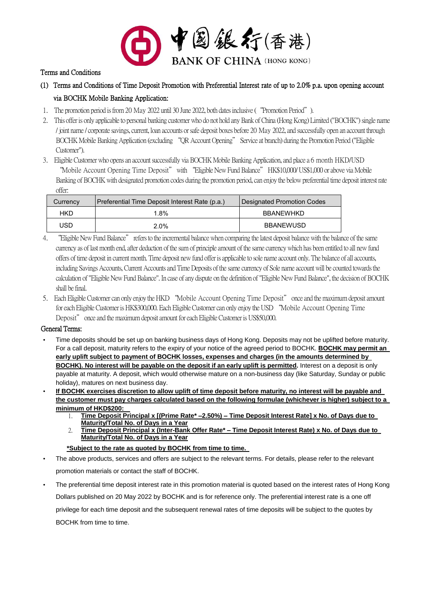

#### Terms and Conditions

(1) Terms and Conditions of Time Deposit Promotion with Preferential Interest rate of up to 2.0% p.a. upon opening account

# via BOCHK Mobile Banking Application:

- 1. The promotion period is from 20 May 2022 until 30 June 2022, both dates inclusive ("Promotion Period").
- 2. This offer is only applicable to personal banking customer who do not hold any Bank of China (Hong Kong) Limited ("BOCHK") single name / joint name / corporate savings, current, loan accounts or safe deposit boxes before 20 May 2022, and successfully open an account through BOCHK Mobile Banking Application (excluding "QR Account Opening" Service at branch) during the Promotion Period ("Eligible Customer").
- 3. Eligible Customer who opens an account successfully via BOCHK Mobile Banking Application, and place a 6 month HKD/USD "Mobile Account Opening Time Deposit" with "Eligible New Fund Balance" HK\$10,000/ US\$1,000 or above via Mobile Banking of BOCHK with designated promotion codes during the promotion period, can enjoy the below preferential time deposit interest rate offer:

| Currency | Preferential Time Deposit Interest Rate (p.a.) | Designated Promotion Codes |
|----------|------------------------------------------------|----------------------------|
| HKD      | 1.8%                                           | BBANEWHKD                  |
| USD      | 2.0%                                           | <b>BBANEWUSD</b>           |

- 4. "Eligible New Fund Balance" refers to the incremental balance when comparing the latest deposit balance with the balance of the same currency as of last month end, after deduction of the sum of principle amount of the same currency which has been entitled to all new fund offers of time deposit in current month. Time deposit new fund offer is applicable to sole name account only. The balance of all accounts, including Savings Accounts, Current Accounts and Time Deposits of the same currency of Sole name account will be counted towards the calculation of "Eligible New Fund Balance". In case of any dispute on the definition of "Eligible New Fund Balance", the decision of BOCHK shall be final.
- 5. Each Eligible Customer can only enjoy the HKD "Mobile Account Opening Time Deposit" once and the maximum deposit amount for each Eligible Customer is HK\$300,000. Each Eligible Customer can only enjoy the USD "Mobile Account Opening Time Deposit" once and the maximum deposit amount for each Eligible Customer is US\$50,000.

#### General Terms:

- Time deposits should be set up on banking business days of Hong Kong. Deposits may not be uplifted before maturity. For a call deposit, maturity refers to the expiry of your notice of the agreed period to BOCHK. **BOCHK may permit an early uplift subject to payment of BOCHK losses, expenses and charges (in the amounts determined by BOCHK). No interest will be payable on the deposit if an early uplift is permitted.** Interest on a deposit is only payable at maturity. A deposit, which would otherwise mature on a non-business day (like Saturday, Sunday or public holiday), matures on next business day.
- **If BOCHK exercises discretion to allow uplift of time deposit before maturity, no interest will be payable and the customer must pay charges calculated based on the following formulae (whichever is higher) subject to a minimum of HKD\$200:** 
	- 1. **Time Deposit Principal x [(Prime Rate\* –2.50%) – Time Deposit Interest Rate] x No. of Days due to Maturity/Total No. of Days in a Year**
	- 2. **Time Deposit Principal x (Inter-Bank Offer Rate\* – Time Deposit Interest Rate) x No. of Days due to Maturity/Total No. of Days in a Year**

#### **\*Subject to the rate as quoted by BOCHK from time to time.**

- The above products, services and offers are subject to the relevant terms. For details, please refer to the relevant promotion materials or contact the staff of BOCHK.
- The preferential time deposit interest rate in this promotion material is quoted based on the interest rates of Hong Kong Dollars published on 20 May 2022 by BOCHK and is for reference only. The preferential interest rate is a one off privilege for each time deposit and the subsequent renewal rates of time deposits will be subject to the quotes by BOCHK from time to time.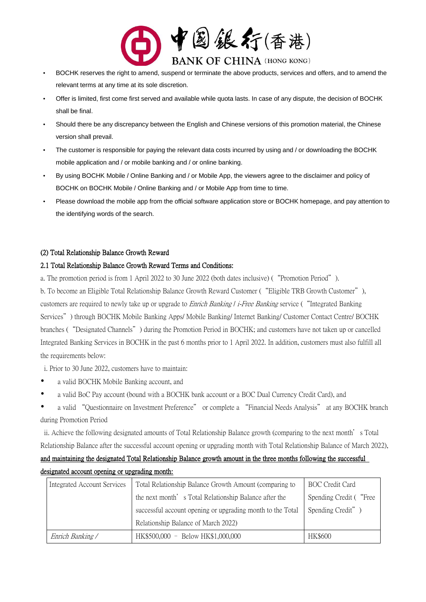

- BOCHK reserves the right to amend, suspend or terminate the above products, services and offers, and to amend the relevant terms at any time at its sole discretion.
- Offer is limited, first come first served and available while quota lasts. In case of any dispute, the decision of BOCHK shall be final.
- Should there be any discrepancy between the English and Chinese versions of this promotion material, the Chinese version shall prevail.
- The customer is responsible for paying the relevant data costs incurred by using and / or downloading the BOCHK mobile application and / or mobile banking and / or online banking.
- By using BOCHK Mobile / Online Banking and / or Mobile App, the viewers agree to the disclaimer and policy of BOCHK on BOCHK Mobile / Online Banking and / or Mobile App from time to time.
- Please download the mobile app from the official software application store or BOCHK homepage, and pay attention to the identifying words of the search.

#### (2) Total Relationship Balance Growth Reward

### 2.1 Total Relationship Balance Growth Reward Terms and Conditions:

a. The promotion period is from 1 April 2022 to 30 June 2022 (both dates inclusive) ("Promotion Period").

b. To become an Eligible Total Relationship Balance Growth Reward Customer ("Eligible TRB Growth Customer"), customers are required to newly take up or upgrade to *Enrich Banking | i-Free Banking* service ("Integrated Banking Services") through BOCHK Mobile Banking Apps/ Mobile Banking/ Internet Banking/ Customer Contact Centre/ BOCHK branches ("Designated Channels") during the Promotion Period in BOCHK; and customers have not taken up or cancelled Integrated Banking Services in BOCHK in the past 6 months prior to 1 April 2022. In addition, customers must also fulfill all the requirements below:

- i. Prior to 30 June 2022, customers have to maintain:
- a valid BOCHK Mobile Banking account, and
- a valid BoC Pay account (bound with a BOCHK bank account or a BOC Dual Currency Credit Card), and
- a valid "Questionnaire on Investment Preference" or complete a "Financial Needs Analysis" at any BOCHK branch during Promotion Period

ii. Achieve the following designated amounts of Total Relationship Balance growth (comparing to the next month's Total Relationship Balance after the successful account opening or upgrading month with Total Relationship Balance of March 2022),

# and maintaining the designated Total Relationship Balance growth amount in the three months following the successful designated account opening or upgrading month:

| Integrated Account Services | Total Relationship Balance Growth Amount (comparing to     | BOC Credit Card         |
|-----------------------------|------------------------------------------------------------|-------------------------|
|                             | the next month's Total Relationship Balance after the      | Spending Credit ( "Free |
|                             | successful account opening or upgrading month to the Total | Spending Credit")       |
|                             | Relationship Balance of March 2022)                        |                         |
| Enrich Banking /            | HK\$500,000 - Below HK\$1,000,000                          | <b>HK\$600</b>          |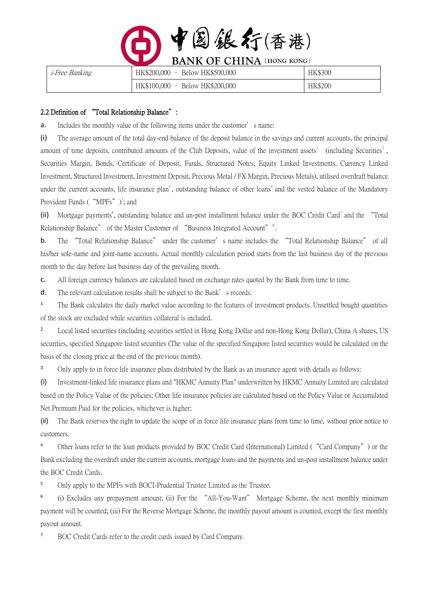| 图銀行(香港)                          |
|----------------------------------|
| <b>BANK OF CHINA (HONG KONG)</b> |

| <i>i-Free Banking</i> | $HK$200,000 -$<br>Below HK\$500,000                                 | <b>HK\$300</b> |
|-----------------------|---------------------------------------------------------------------|----------------|
|                       | Below HK\$200,000<br>HK\$100,000<br>$\hspace{0.1mm}-\hspace{0.1mm}$ | <b>HK\$200</b> |

#### 2.2 Definition of "Total Relationship Balance":

**a.** Includes the monthly value of the following items under the customer's name:

(i) The average amount of the total day-end balance of the deposit balance in the savings and current accounts, the principal amount of time deposits, contributed amounts of the Club Deposits, value of the investment assets<sup>1</sup> (including Securities<sup>2</sup>, Securities Margin, Bonds, Certificate of Deposit, Funds, Structured Notes, Equity Linked Investments, Currency Linked Investment, Structured Investment, Investment Deposit, Precious Metal / FX Margin, Precious Metals), utilised overdraft balance under the current accounts, life insurance plan<sup>3</sup>, outstanding balance of other loans<sup>4</sup> and the vested balance of the Mandatory Provident Funds  $($  "MPFs"  $)$ <sup>5</sup>; and

(ii) Mortgage payments<sup>6</sup>, outstanding balance and un-post installment balance under the BOC Credit Card<sup>7</sup> and the "Total Relationship Balance" of the Master Customer of "Business Integrated Account"<sup>8</sup>.

b. The "Total Relationship Balance" under the customer's name includes the "Total Relationship Balance" of all his/her sole-name and joint-name accounts. Actual monthly calculation period starts from the last business day of the previous month to the day before last business day of the prevailing month.

c. All foreign currency balances are calculated based on exchange rates quoted by the Bank from time to time.

d. The relevant calculation results shall be subject to the Bank's records.

<sup>1</sup> The Bank calculates the daily market value according to the features of investment products. Unsettled bought quantities of the stock are excluded while securities collateral is included.

<sup>2</sup> Local listed securities (including securities settled in Hong Kong Dollar and non-Hong Kong Dollar), China A shares, US securities, specified Singapore listed securities (The value of the specified Singapore listed securities would be calculated on the basis of the closing price at the end of the previous month).

<sup>3</sup> Only apply to in force life insurance plans distributed by the Bank as an insurance agent with details as follows:

(i) Investment-linked life insurance plans and "HKMC Annuity Plan" underwritten by HKMC Annuity Limited are calculated based on the Policy Value of the policies; Other life insurance policies are calculated based on the Policy Value or Accumulated Net Premium Paid for the policies, whichever is higher;

(ii) The Bank reserves the right to update the scope of in force life insurance plans from time to time, without prior notice to customers.

<sup>4</sup> Other loans refer to the loan products provided by BOC Credit Card (International) Limited ("Card Company") or the Bank excluding the overdraft under the current accounts, mortgage loans and the payments and un-post installment balance under the BOC Credit Cards.

<sup>5</sup> Only apply to the MPFs with BOCI-Prudential Trustee Limited as the Trustee.

6 (i) Excludes any prepayment amount; (ii) For the "All-You-Want" Mortgage Scheme, the next monthly minimum payment will be counted; (iii) For the Reverse Mortgage Scheme, the monthly payout amount is counted, except the first monthly payout amount.

<sup>7</sup> BOC Credit Cards refer to the credit cards issued by Card Company.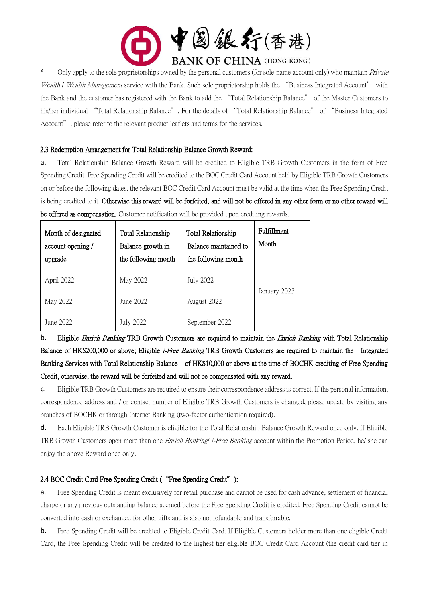

<sup>8</sup> Only apply to the sole proprietorships owned by the personal customers (for sole-name account only) who maintain *Private* Wealth / Wealth Management service with the Bank. Such sole proprietorship holds the "Business Integrated Account" with the Bank and the customer has registered with the Bank to add the "Total Relationship Balance" of the Master Customers to his/her individual "Total Relationship Balance". For the details of "Total Relationship Balance" of "Business Integrated Account", please refer to the relevant product leaflets and terms for the services.

#### 2.3 Redemption Arrangement for Total Relationship Balance Growth Reward:

a. Total Relationship Balance Growth Reward will be credited to Eligible TRB Growth Customers in the form of Free Spending Credit. Free Spending Credit will be credited to the BOC Credit Card Account held by Eligible TRB Growth Customers on or before the following dates, the relevant BOC Credit Card Account must be valid at the time when the Free Spending Credit is being credited to it. Otherwise this reward will be forfeited, and will not be offered in any other form or no other reward will be offered as compensation. Customer notification will be provided upon crediting rewards.

| Month of designated<br>account opening /<br>upgrade | <b>Total Relationship</b><br>Balance growth in<br>the following month | <b>Total Relationship</b><br>Balance maintained to<br>the following month | <b>Fulfillment</b><br>Month |
|-----------------------------------------------------|-----------------------------------------------------------------------|---------------------------------------------------------------------------|-----------------------------|
| April 2022                                          | May 2022                                                              | July 2022                                                                 |                             |
| May 2022                                            | June 2022.                                                            | August 2022                                                               | January 2023                |
| June 2022.                                          | <b>July 2022</b>                                                      | September 2022                                                            |                             |

b. Eligible *Enrich Banking* TRB Growth Customers are required to maintain the *Enrich Banking* with Total Relationship Balance of HK\$200,000 or above; Eligible *i-Free Banking* TRB Growth Customers are required to maintain the Integrated Banking Services with Total Relationship Balance of HK\$10,000 or above at the time of BOCHK crediting of Free Spending Credit, otherwise, the reward will be forfeited and will not be compensated with any reward.

c. Eligible TRB Growth Customers are required to ensure their correspondence address is correct. If the personal information, correspondence address and / or contact number of Eligible TRB Growth Customers is changed, please update by visiting any branches of BOCHK or through Internet Banking (two-factor authentication required).

d. Each Eligible TRB Growth Customer is eligible for the Total Relationship Balance Growth Reward once only. If Eligible TRB Growth Customers open more than one *Enrich Banking i-Free Banking* account within the Promotion Period, he/ she can enjoy the above Reward once only.

# 2.4 BOC Credit Card Free Spending Credit ("Free Spending Credit"):

a. Free Spending Credit is meant exclusively for retail purchase and cannot be used for cash advance, settlement of financial charge or any previous outstanding balance accrued before the Free Spending Credit is credited. Free Spending Credit cannot be converted into cash or exchanged for other gifts and is also not refundable and transferrable.

b. Free Spending Credit will be credited to Eligible Credit Card. If Eligible Customers holder more than one eligible Credit Card, the Free Spending Credit will be credited to the highest tier eligible BOC Credit Card Account (the credit card tier in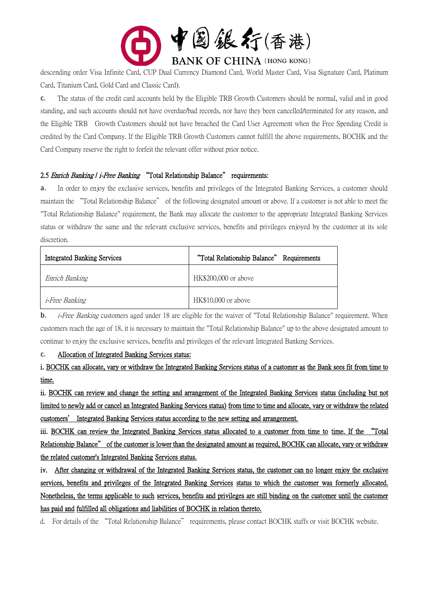

descending order Visa Infinite Card, CUP Dual Currency Diamond Card, World Master Card, Visa Signature Card, Platinum Card, Titanium Card, Gold Card and Classic Card).

c. The status of the credit card accounts held by the Eligible TRB Growth Customers should be normal, valid and in good standing, and such accounts should not have overdue/bad records, nor have they been cancelled/terminated for any reason, and the Eligible TRB Growth Customers should not have breached the Card User Agreement when the Free Spending Credit is credited by the Card Company. If the Eligible TRB Growth Customers cannot fulfill the above requirements, BOCHK and the Card Company reserve the right to forfeit the relevant offer without prior notice.

### 2.5 Enrich Banking / i-Free Banking "Total Relationship Balance" requirements:

a. In order to enjoy the exclusive services, benefits and privileges of the Integrated Banking Services, a customer should maintain the "Total Relationship Balance" of the following designated amount or above. If a customer is not able to meet the "Total Relationship Balance" requirement, the Bank may allocate the customer to the appropriate Integrated Banking Services status or withdraw the same and the relevant exclusive services, benefits and privileges enjoyed by the customer at its sole discretion.

| <b>Integrated Banking Services</b> | "Total Relationship Balance" Requirements |  |
|------------------------------------|-------------------------------------------|--|
| Enrich Banking                     | HK\$200,000 or above                      |  |
| <i>i-Free Banking</i>              | HK\$10,000 or above                       |  |

**b.** *i-Free Banking* customers aged under 18 are eligible for the waiver of "Total Relationship Balance" requirement. When customers reach the age of 18, it is necessary to maintain the "Total Relationship Balance" up to the above designated amount to continue to enjoy the exclusive services, benefits and privileges of the relevant Integrated Banking Services.

#### c. Allocation of Integrated Banking Services status:

i. BOCHK can allocate, vary or withdraw the Integrated Banking Services status of a customer as the Bank sees fit from time to time.

ii. BOCHK can review and change the setting and arrangement of the Integrated Banking Services status (including but not limited to newly add or cancel an Integrated Banking Services status) from time to time and allocate, vary or withdraw the related customers' Integrated Banking Services status according to the new setting and arrangement.

iii. BOCHK can review the Integrated Banking Services status allocated to a customer from time to time. If the "Total Relationship Balance" of the customer is lower than the designated amount as required, BOCHK can allocate, vary or withdraw the related customer's Integrated Banking Services status.

iv. After changing or withdrawal of the Integrated Banking Services status, the customer can no longer enjoy the exclusive services, benefits and privileges of the Integrated Banking Services status to which the customer was formerly allocated. Nonetheless, the terms applicable to such services, benefits and privileges are still binding on the customer until the customer has paid and fulfilled all obligations and liabilities of BOCHK in relation thereto.

d. For details of the "Total Relationship Balance" requirements, please contact BOCHK staffs or visit BOCHK website.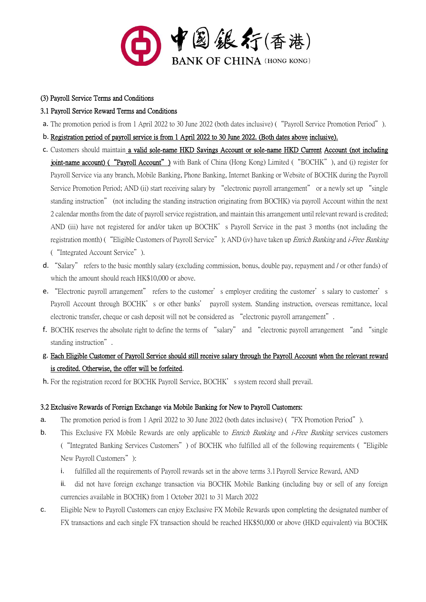

# (3) Payroll Service Terms and Conditions

# 3.1 Payroll Service Reward Terms and Conditions

- a. The promotion period is from 1 April 2022 to 30 June 2022 (both dates inclusive) ("Payroll Service Promotion Period").
- b. Registration period of payroll service is from 1 April 2022 to 30 June 2022. (Both dates above inclusive).
- c. Customers should maintain a valid sole-name HKD Savings Account or sole-name HKD Current Account (not including joint-name account) ("Payroll Account") with Bank of China (Hong Kong) Limited ("BOCHK"), and (i) register for Payroll Service via any branch, Mobile Banking, Phone Banking, Internet Banking or Website of BOCHK during the Payroll Service Promotion Period; AND (ii) start receiving salary by "electronic payroll arrangement" or a newly set up "single standing instruction" (not including the standing instruction originating from BOCHK) via payroll Account within the next 2 calendar months from the date of payroll service registration, and maintain this arrangement until relevant reward is credited; AND (iii) have not registered for and/or taken up BOCHK's Payroll Service in the past 3 months (not including the registration month) ("Eligible Customers of Payroll Service"); AND (iv) have taken up *Enrich Banking* and *i-Free Banking* ("Integrated Account Service").
- d. "Salary" refers to the basic monthly salary (excluding commission, bonus, double pay, repayment and / or other funds) of which the amount should reach HK\$10,000 or above.
- e. "Electronic payroll arrangement" refers to the customer's employer crediting the customer's salary to customer's Payroll Account through BOCHK's or other banks' payroll system. Standing instruction, overseas remittance, local electronic transfer, cheque or cash deposit will not be considered as "electronic payroll arrangement".
- f. BOCHK reserves the absolute right to define the terms of "salary" and "electronic payroll arrangement "and "single standing instruction".
- g. Each Eligible Customer of Payroll Service should still receive salary through the Payroll Account when the relevant reward is credited. Otherwise, the offer will be forfeited.
- h. For the registration record for BOCHK Payroll Service, BOCHK's system record shall prevail.

# 3.2 Exclusive Rewards of Foreign Exchange via Mobile Banking for New to Payroll Customers:

- a. The promotion period is from 1 April 2022 to 30 June 2022 (both dates inclusive) ("FX Promotion Period").
- **b.** This Exclusive FX Mobile Rewards are only applicable to *Enrich Banking* and *i-Free Banking* services customers ("Integrated Banking Services Customers") of BOCHK who fulfilled all of the following requirements ("Eligible New Payroll Customers"):
	- i. fulfilled all the requirements of Payroll rewards set in the above terms 3.1 Payroll Service Reward, AND
	- ii. did not have foreign exchange transaction via BOCHK Mobile Banking (including buy or sell of any foreign currencies available in BOCHK) from 1 October 2021 to 31 March 2022
- c. Eligible New to Payroll Customers can enjoy Exclusive FX Mobile Rewards upon completing the designated number of FX transactions and each single FX transaction should be reached HK\$50,000 or above (HKD equivalent) via BOCHK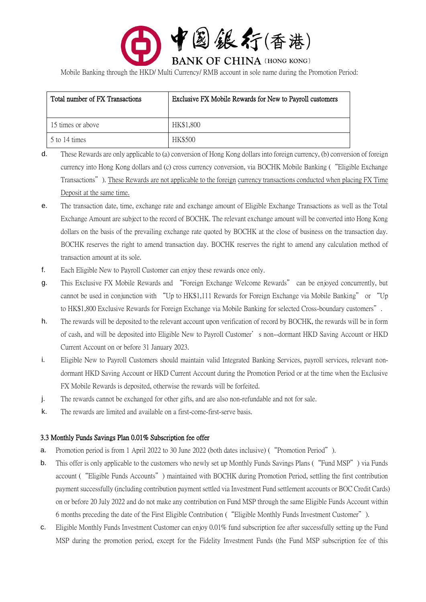

Mobile Banking through the HKD/ Multi Currency/ RMB account in sole name during the Promotion Period:

| Total number of FX Transactions | Exclusive FX Mobile Rewards for New to Payroll customers |  |
|---------------------------------|----------------------------------------------------------|--|
| 15 times or above               | HK\$1,800                                                |  |
| 5 to 14 times                   | <b>HK\$500</b>                                           |  |

- d. These Rewards are only applicable to (a) conversion of Hong Kong dollars into foreign currency, (b) conversion of foreign currency into Hong Kong dollars and (c) cross currency conversion, via BOCHK Mobile Banking ("Eligible Exchange Transactions"). These Rewards are not applicable to the foreign currency transactions conducted when placing FX Time Deposit at the same time.
- e. The transaction date, time, exchange rate and exchange amount of Eligible Exchange Transactions as well as the Total Exchange Amount are subject to the record of BOCHK. The relevant exchange amount will be converted into Hong Kong dollars on the basis of the prevailing exchange rate quoted by BOCHK at the close of business on the transaction day. BOCHK reserves the right to amend transaction day. BOCHK reserves the right to amend any calculation method of transaction amount at its sole.
- f. Each Eligible New to Payroll Customer can enjoy these rewards once only.
- g. This Exclusive FX Mobile Rewards and "Foreign Exchange Welcome Rewards" can be enjoyed concurrently, but cannot be used in conjunction with "Up to HK\$1,111 Rewards for Foreign Exchange via Mobile Banking" or "Up to HK\$1,800 Exclusive Rewards for Foreign Exchange via Mobile Banking for selected Cross-boundary customers".
- h. The rewards will be deposited to the relevant account upon verification of record by BOCHK, the rewards will be in form of cash, and will be deposited into Eligible New to Payroll Customer's non--dormant HKD Saving Account or HKD Current Account on or before 31 January 2023.
- i. Eligible New to Payroll Customers should maintain valid Integrated Banking Services, payroll services, relevant nondormant HKD Saving Account or HKD Current Account during the Promotion Period or at the time when the Exclusive FX Mobile Rewards is deposited, otherwise the rewards will be forfeited.
- j. The rewards cannot be exchanged for other gifts, and are also non-refundable and not for sale.
- k. The rewards are limited and available on a first-come-first-serve basis.

# 3.3 Monthly Funds Savings Plan 0.01% Subscription fee offer

- a. Promotion period is from 1 April 2022 to 30 June 2022 (both dates inclusive) ("Promotion Period").
- b. This offer is only applicable to the customers who newly set up Monthly Funds Savings Plans ("Fund MSP") via Funds account ("Eligible Funds Accounts") maintained with BOCHK during Promotion Period, settling the first contribution payment successfully (including contribution payment settled via Investment Fund settlement accounts or BOC Credit Cards) on or before 20 July 2022 and do not make any contribution on Fund MSP through the same Eligible Funds Account within 6 months preceding the date of the First Eligible Contribution ("Eligible Monthly Funds Investment Customer").
- c. Eligible Monthly Funds Investment Customer can enjoy 0.01% fund subscription fee after successfully setting up the Fund MSP during the promotion period, except for the Fidelity Investment Funds (the Fund MSP subscription fee of this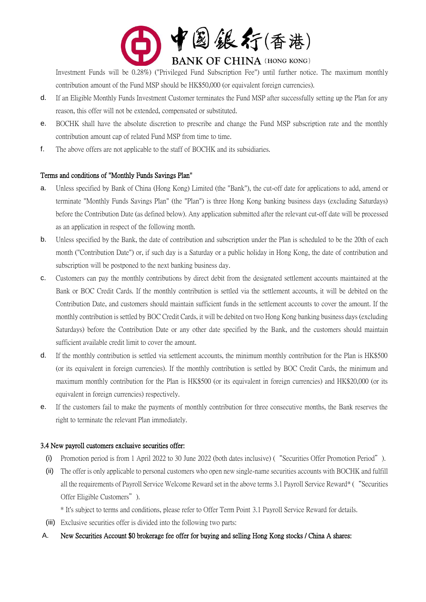

Investment Funds will be 0.28%) ("Privileged Fund Subscription Fee") until further notice. The maximum monthly contribution amount of the Fund MSP should be HK\$50,000 (or equivalent foreign currencies).

- d. If an Eligible Monthly Funds Investment Customer terminates the Fund MSP after successfully setting up the Plan for any reason, this offer will not be extended, compensated or substituted.
- e. BOCHK shall have the absolute discretion to prescribe and change the Fund MSP subscription rate and the monthly contribution amount cap of related Fund MSP from time to time.
- f. The above offers are not applicable to the staff of BOCHK and its subsidiaries.

# Terms and conditions of "Monthly Funds Savings Plan"

- a. Unless specified by Bank of China (Hong Kong) Limited (the "Bank"), the cut-off date for applications to add, amend or terminate "Monthly Funds Savings Plan" (the "Plan") is three Hong Kong banking business days (excluding Saturdays) before the Contribution Date (as defined below). Any application submitted after the relevant cut-off date will be processed as an application in respect of the following month.
- b. Unless specified by the Bank, the date of contribution and subscription under the Plan is scheduled to be the 20th of each month ("Contribution Date") or, if such day is a Saturday or a public holiday in Hong Kong, the date of contribution and subscription will be postponed to the next banking business day.
- c. Customers can pay the monthly contributions by direct debit from the designated settlement accounts maintained at the Bank or BOC Credit Cards. If the monthly contribution is settled via the settlement accounts, it will be debited on the Contribution Date, and customers should maintain sufficient funds in the settlement accounts to cover the amount. If the monthly contribution is settled by BOC Credit Cards, it will be debited on two Hong Kong banking business days (excluding Saturdays) before the Contribution Date or any other date specified by the Bank, and the customers should maintain sufficient available credit limit to cover the amount.
- d. If the monthly contribution is settled via settlement accounts, the minimum monthly contribution for the Plan is HK\$500 (or its equivalent in foreign currencies). If the monthly contribution is settled by BOC Credit Cards, the minimum and maximum monthly contribution for the Plan is HK\$500 (or its equivalent in foreign currencies) and HK\$20,000 (or its equivalent in foreign currencies) respectively.
- e. If the customers fail to make the payments of monthly contribution for three consecutive months, the Bank reserves the right to terminate the relevant Plan immediately.

# 3.4 New payroll customers exclusive securities offer:

- (i) Promotion period is from 1 April 2022 to 30 June 2022 (both dates inclusive) ("Securities Offer Promotion Period").
- (ii) The offer is only applicable to personal customers who open new single-name securities accounts with BOCHK and fulfill all the requirements of Payroll Service Welcome Reward set in the above terms 3.1 Payroll Service Reward\* ("Securities Offer Eligible Customers").
	- \* It's subject to terms and conditions, please refer to Offer Term Point 3.1 Payroll Service Reward for details.
- (iii) Exclusive securities offer is divided into the following two parts:
- A. New Securities Account \$0 brokerage fee offer for buying and selling Hong Kong stocks / China A shares: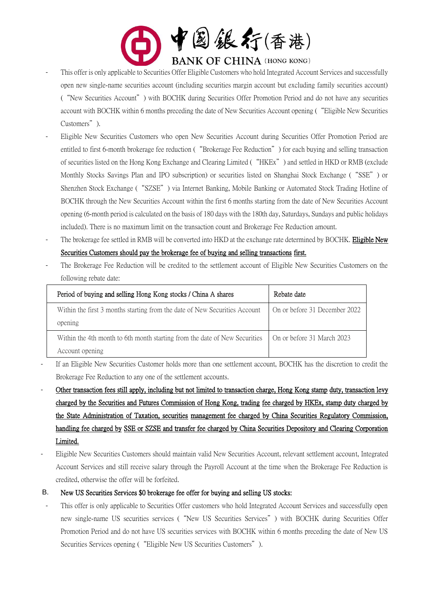

- This offer is only applicable to Securities Offer Eligible Customers who hold Integrated Account Services and successfully open new single-name securities account (including securities margin account but excluding family securities account) ("New Securities Account") with BOCHK during Securities Offer Promotion Period and do not have any securities account with BOCHK within 6 months preceding the date of New Securities Account opening ("Eligible New Securities Customers").
- Eligible New Securities Customers who open New Securities Account during Securities Offer Promotion Period are entitled to first 6-month brokerage fee reduction ("Brokerage Fee Reduction") for each buying and selling transaction of securities listed on the Hong Kong Exchange and Clearing Limited ("HKEx") and settled in HKD or RMB (exclude Monthly Stocks Savings Plan and IPO subscription) or securities listed on Shanghai Stock Exchange ("SSE") or Shenzhen Stock Exchange ("SZSE") via Internet Banking, Mobile Banking or Automated Stock Trading Hotline of BOCHK through the New Securities Account within the first 6 months starting from the date of New Securities Account opening (6-month period is calculated on the basis of 180 days with the 180th day, Saturdays, Sundays and public holidays included). There is no maximum limit on the transaction count and Brokerage Fee Reduction amount.
- The brokerage fee settled in RMB will be converted into HKD at the exchange rate determined by BOCHK. Eligible New Securities Customers should pay the brokerage fee of buying and selling transactions first.
- The Brokerage Fee Reduction will be credited to the settlement account of Eligible New Securities Customers on the following rebate date:

| Period of buying and selling Hong Kong stocks / China A shares             | Rebate date                   |
|----------------------------------------------------------------------------|-------------------------------|
| Within the first 3 months starting from the date of New Securities Account | On or before 31 December 2022 |
| opening                                                                    |                               |
| Within the 4th month to 6th month starting from the date of New Securities | On or before 31 March 2023    |
| Account opening                                                            |                               |

- If an Eligible New Securities Customer holds more than one settlement account, BOCHK has the discretion to credit the Brokerage Fee Reduction to any one of the settlement accounts.
- Other transaction fees still apply, including but not limited to transaction charge, Hong Kong stamp duty, transaction levy charged by the Securities and Futures Commission of Hong Kong, trading fee charged by HKEx, stamp duty charged by the State Administration of Taxation, securities management fee charged by China Securities Regulatory Commission, handling fee charged by SSE or SZSE and transfer fee charged by China Securities Depository and Clearing Corporation Limited.
- Eligible New Securities Customers should maintain valid New Securities Account, relevant settlement account, Integrated Account Services and still receive salary through the Payroll Account at the time when the Brokerage Fee Reduction is credited, otherwise the offer will be forfeited.
- B. New US Securities Services \$0 brokerage fee offer for buying and selling US stocks:
- This offer is only applicable to Securities Offer customers who hold Integrated Account Services and successfully open new single-name US securities services ("New US Securities Services") with BOCHK during Securities Offer Promotion Period and do not have US securities services with BOCHK within 6 months preceding the date of New US Securities Services opening ( "Eligible New US Securities Customers").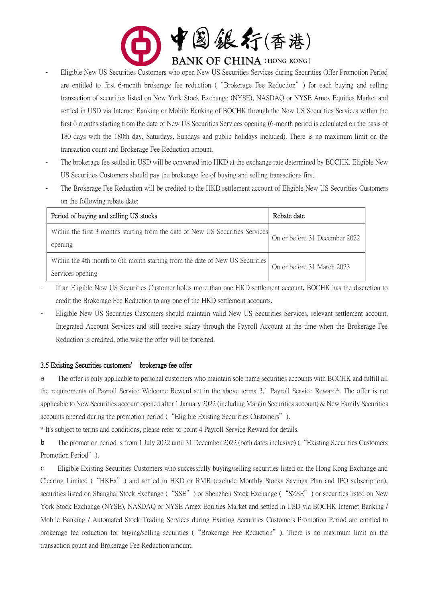

- Eligible New US Securities Customers who open New US Securities Services during Securities Offer Promotion Period are entitled to first 6-month brokerage fee reduction ("Brokerage Fee Reduction") for each buying and selling transaction of securities listed on New York Stock Exchange (NYSE), NASDAQ or NYSE Amex Equities Market and settled in USD via Internet Banking or Mobile Banking of BOCHK through the New US Securities Services within the first 6 months starting from the date of New US Securities Services opening (6-month period is calculated on the basis of 180 days with the 180th day, Saturdays, Sundays and public holidays included). There is no maximum limit on the transaction count and Brokerage Fee Reduction amount.
- The brokerage fee settled in USD will be converted into HKD at the exchange rate determined by BOCHK. Eligible New US Securities Customers should pay the brokerage fee of buying and selling transactions first.
- The Brokerage Fee Reduction will be credited to the HKD settlement account of Eligible New US Securities Customers on the following rebate date:

| Period of buying and selling US stocks                                                            | Rebate date                   |
|---------------------------------------------------------------------------------------------------|-------------------------------|
| Within the first 3 months starting from the date of New US Securities Services<br>opening         | On or before 31 December 2022 |
| Within the 4th month to 6th month starting from the date of New US Securities<br>Services opening | On or before 31 March 2023    |

- If an Eligible New US Securities Customer holds more than one HKD settlement account, BOCHK has the discretion to credit the Brokerage Fee Reduction to any one of the HKD settlement accounts.
- Eligible New US Securities Customers should maintain valid New US Securities Services, relevant settlement account, Integrated Account Services and still receive salary through the Payroll Account at the time when the Brokerage Fee Reduction is credited, otherwise the offer will be forfeited.

#### 3.5 Existing Securities customers' brokerage fee offer

a The offer is only applicable to personal customers who maintain sole name securities accounts with BOCHK and fulfill all the requirements of Payroll Service Welcome Reward set in the above terms 3.1 Payroll Service Reward\*. The offer is not applicable to New Securities account opened after 1 January 2022 (including Margin Securities account) & New Family Securities accounts opened during the promotion period ("Eligible Existing Securities Customers").

\* It's subject to terms and conditions, please refer to point 4 Payroll Service Reward for details.

b The promotion period is from 1 July 2022 until 31 December 2022 (both dates inclusive) ("Existing Securities Customers Promotion Period").

c Eligible Existing Securities Customers who successfully buying/selling securities listed on the Hong Kong Exchange and Clearing Limited ("HKEx") and settled in HKD or RMB (exclude Monthly Stocks Savings Plan and IPO subscription), securities listed on Shanghai Stock Exchange ("SSE") or Shenzhen Stock Exchange ("SZSE") or securities listed on New York Stock Exchange (NYSE), NASDAQ or NYSE Amex Equities Market and settled in USD via BOCHK Internet Banking / Mobile Banking / Automated Stock Trading Services during Existing Securities Customers Promotion Period are entitled to brokerage fee reduction for buying/selling securities ("Brokerage Fee Reduction"). There is no maximum limit on the transaction count and Brokerage Fee Reduction amount.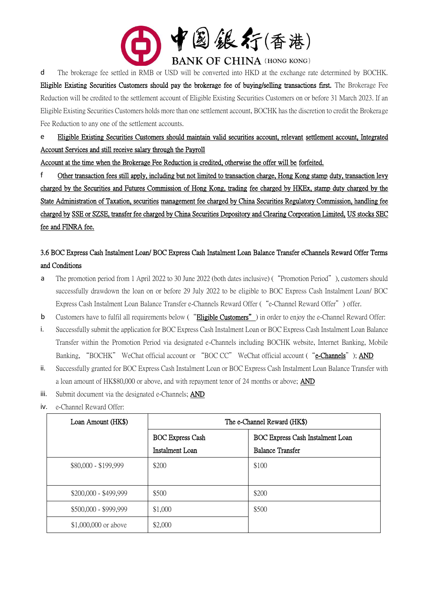

d The brokerage fee settled in RMB or USD will be converted into HKD at the exchange rate determined by BOCHK. Eligible Existing Securities Customers should pay the brokerage fee of buying/selling transactions first. The Brokerage Fee Reduction will be credited to the settlement account of Eligible Existing Securities Customers on or before 31 March 2023. If an Eligible Existing Securities Customers holds more than one settlement account, BOCHK has the discretion to credit the Brokerage Fee Reduction to any one of the settlement accounts.

e Eligible Existing Securities Customers should maintain valid securities account, relevant settlement account, Integrated Account Services and still receive salary through the Payroll

Account at the time when the Brokerage Fee Reduction is credited, otherwise the offer will be forfeited.

f Other transaction fees still apply, including but not limited to transaction charge, Hong Kong stamp duty, transaction levy charged by the Securities and Futures Commission of Hong Kong, trading fee charged by HKEx, stamp duty charged by the State Administration of Taxation, securities management fee charged by China Securities Regulatory Commission, handling fee charged by SSE or SZSE, transfer fee charged by China Securities Depository and Clearing Corporation Limited, US stocks SEC fee and FINRA fee.

# 3.6 BOC Express Cash Instalment Loan/ BOC Express Cash Instalment Loan Balance Transfer eChannels Reward Offer Terms and Conditions

- a The promotion period from 1 April 2022 to 30 June 2022 (both dates inclusive) ("Promotion Period"), customers should successfully drawdown the loan on or before 29 July 2022 to be eligible to BOC Express Cash Instalment Loan/ BOC Express Cash Instalment Loan Balance Transfer e-Channels Reward Offer ("e-Channel Reward Offer") offer.
- b Customers have to fulfil all requirements below ("Eligible Customers") in order to enjoy the e-Channel Reward Offer:
- i. Successfully submit the application for BOC Express Cash Instalment Loan or BOC Express Cash Instalment Loan Balance Transfer within the Promotion Period via designated e-Channels including BOCHK website, Internet Banking, Mobile Banking, "BOCHK" WeChat official account or "BOC CC" WeChat official account ("e-Channels"); AND
- ii. Successfully granted for BOC Express Cash Instalment Loan or BOC Express Cash Instalment Loan Balance Transfer with a loan amount of HK\$80,000 or above, and with repayment tenor of 24 months or above; AND
- iii. Submit document via the designated e-Channels; AND
- iv. e-Channel Reward Offer:

| Loan Amount (HK\$)    | The e-Channel Reward (HK\$) |                                  |  |
|-----------------------|-----------------------------|----------------------------------|--|
|                       | <b>BOC Express Cash</b>     | BOC Express Cash Instalment Loan |  |
|                       | Instalment Loan             | <b>Balance Transfer</b>          |  |
| \$80,000 - \$199,999  | \$200                       | \$100                            |  |
| \$200,000 - \$499,999 | \$500                       | \$200                            |  |
| \$500,000 - \$999,999 | \$1,000                     | \$500                            |  |
| \$1,000,000 or above  | \$2,000                     |                                  |  |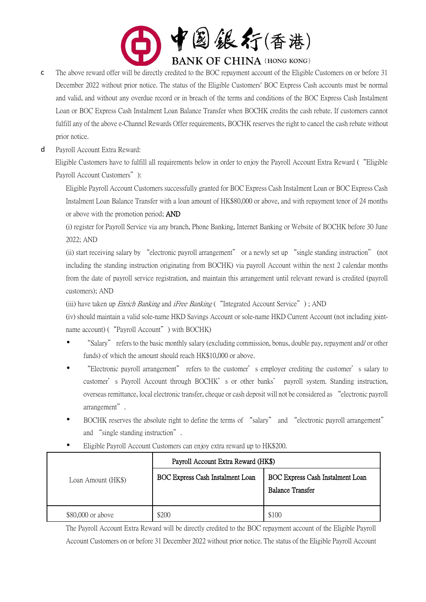

- c The above reward offer will be directly credited to the BOC repayment account of the Eligible Customers on or before 31 December 2022 without prior notice. The status of the Eligible Customers' BOC Express Cash accounts must be normal and valid, and without any overdue record or in breach of the terms and conditions of the BOC Express Cash Instalment Loan or BOC Express Cash Instalment Loan Balance Transfer when BOCHK credits the cash rebate. If customers cannot fulfill any of the above e-Channel Rewards Offer requirements, BOCHK reserves the right to cancel the cash rebate without prior notice.
- d Payroll Account Extra Reward:

Eligible Customers have to fulfill all requirements below in order to enjoy the Payroll Account Extra Reward ("Eligible Payroll Account Customers"):

Eligible Payroll Account Customers successfully granted for BOC Express Cash Instalment Loan or BOC Express Cash Instalment Loan Balance Transfer with a loan amount of HK\$80,000 or above, and with repayment tenor of 24 months or above with the promotion period; AND

(i) register for Payroll Service via any branch, Phone Banking, Internet Banking or Website of BOCHK before 30 June 2022; AND

(ii) start receiving salary by "electronic payroll arrangement" or a newly set up "single standing instruction" (not including the standing instruction originating from BOCHK) via payroll Account within the next 2 calendar months from the date of payroll service registration, and maintain this arrangement until relevant reward is credited (payroll customers); AND

(iii) have taken up *Enrich Banking* and *iFree Banking* ("Integrated Account Service"); AND

(iv) should maintain a valid sole-name HKD Savings Account or sole-name HKD Current Account (not including jointname account) ( "Payroll Account" ) with BOCHK)

- "Salary" refers to the basic monthly salary (excluding commission, bonus, double pay, repayment and/ or other funds) of which the amount should reach HK\$10,000 or above.
- "Electronic payroll arrangement" refers to the customer's employer crediting the customer's salary to customer's Payroll Account through BOCHK's or other banks' payroll system. Standing instruction, overseas remittance, local electronic transfer, cheque or cash deposit will not be considered as "electronic payroll arrangement".
- BOCHK reserves the absolute right to define the terms of "salary" and "electronic payroll arrangement" and "single standing instruction".

|                    | Payroll Account Extra Reward (HK\$) |                                                             |
|--------------------|-------------------------------------|-------------------------------------------------------------|
| Loan Amount (HK\$) | BOC Express Cash Instalment Loan    | BOC Express Cash Instalment Loan<br><b>Balance Transfer</b> |
| \$80,000 or above  | \$200                               | \$100                                                       |

Eligible Payroll Account Customers can enjoy extra reward up to HK\$200.

The Payroll Account Extra Reward will be directly credited to the BOC repayment account of the Eligible Payroll Account Customers on or before 31 December 2022 without prior notice. The status of the Eligible Payroll Account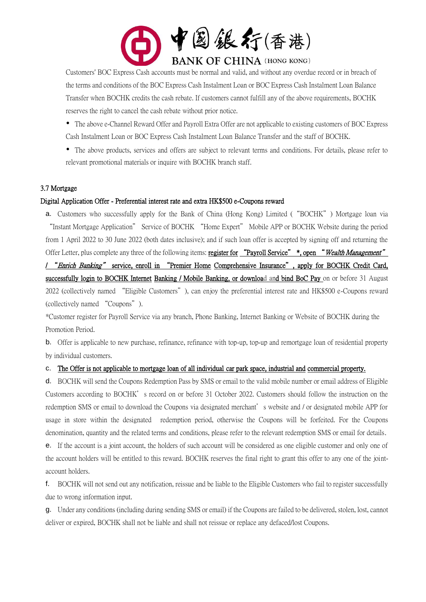

Customers' BOC Express Cash accounts must be normal and valid, and without any overdue record or in breach of the terms and conditions of the BOC Express Cash Instalment Loan or BOC Express Cash Instalment Loan Balance Transfer when BOCHK credits the cash rebate. If customers cannot fulfill any of the above requirements, BOCHK reserves the right to cancel the cash rebate without prior notice.

 The above e-Channel Reward Offer and Payroll Extra Offer are not applicable to existing customers of BOC Express Cash Instalment Loan or BOC Express Cash Instalment Loan Balance Transfer and the staff of BOCHK.

 The above products, services and offers are subject to relevant terms and conditions. For details, please refer to relevant promotional materials or inquire with BOCHK branch staff.

#### 3.7 Mortgage

#### Digital Application Offer - Preferential interest rate and extra HK\$500 e-Coupons reward

a. Customers who successfully apply for the Bank of China (Hong Kong) Limited ("BOCHK") Mortgage loan via "Instant Mortgage Application" Service of BOCHK "Home Expert" Mobile APP or BOCHK Website during the period from 1 April 2022 to 30 June 2022 (both dates inclusive); and if such loan offer is accepted by signing off and returning the Offer Letter, plus complete any three of the following items: register for "Payroll Service" \*, open "Wealth Management" / "Enrich Banking" service, enroll in "Premier Home Comprehensive Insurance", apply for BOCHK Credit Card, successfully login to BOCHK Internet Banking / Mobile Banking, or download and bind BoC Pay on or before 31 August 2022 (collectively named "Eligible Customers"), can enjoy the preferential interest rate and HK\$500 e-Coupons reward (collectively named "Coupons").

\*Customer register for Payroll Service via any branch, Phone Banking, Internet Banking or Website of BOCHK during the Promotion Period.

b. Offer is applicable to new purchase, refinance, refinance with top-up, top-up and remortgage loan of residential property by individual customers.

#### c. The Offer is not applicable to mortgage loan of all individual car park space, industrial and commercial property.

d. BOCHK will send the Coupons Redemption Pass by SMS or email to the valid mobile number or email address of Eligible Customers according to BOCHK's record on or before 31 October 2022. Customers should follow the instruction on the redemption SMS or email to download the Coupons via designated merchant's website and / or designated mobile APP for usage in store within the designated redemption period, otherwise the Coupons will be forfeited. For the Coupons denomination, quantity and the related terms and conditions, please refer to the relevant redemption SMS or email for details.

e. If the account is a joint account, the holders of such account will be considered as one eligible customer and only one of the account holders will be entitled to this reward. BOCHK reserves the final right to grant this offer to any one of the jointaccount holders.

f. BOCHK will not send out any notification, reissue and be liable to the Eligible Customers who fail to register successfully due to wrong information input.

g. Under any conditions (including during sending SMS or email) if the Coupons are failed to be delivered, stolen, lost, cannot deliver or expired, BOCHK shall not be liable and shall not reissue or replace any defaced/lost Coupons.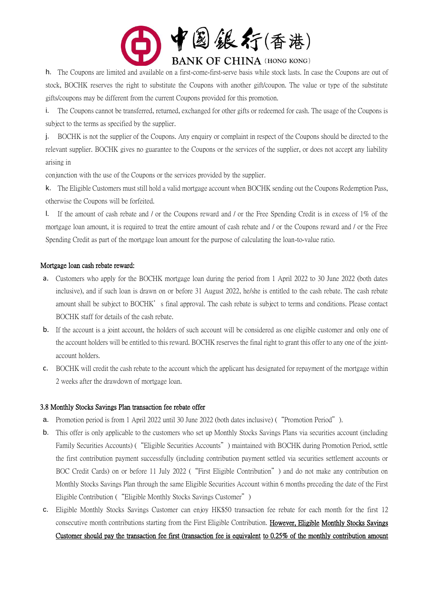

h. The Coupons are limited and available on a first-come-first-serve basis while stock lasts. In case the Coupons are out of stock, BOCHK reserves the right to substitute the Coupons with another gift/coupon. The value or type of the substitute gifts/coupons may be different from the current Coupons provided for this promotion.

i. The Coupons cannot be transferred, returned, exchanged for other gifts or redeemed for cash. The usage of the Coupons is subject to the terms as specified by the supplier.

j. BOCHK is not the supplier of the Coupons. Any enquiry or complaint in respect of the Coupons should be directed to the relevant supplier. BOCHK gives no guarantee to the Coupons or the services of the supplier, or does not accept any liability arising in

conjunction with the use of the Coupons or the services provided by the supplier.

k. The Eligible Customers must still hold a valid mortgage account when BOCHK sending out the Coupons Redemption Pass, otherwise the Coupons will be forfeited.

l. If the amount of cash rebate and / or the Coupons reward and / or the Free Spending Credit is in excess of 1% of the mortgage loan amount, it is required to treat the entire amount of cash rebate and / or the Coupons reward and / or the Free Spending Credit as part of the mortgage loan amount for the purpose of calculating the loan-to-value ratio.

### Mortgage loan cash rebate reward:

- a. Customers who apply for the BOCHK mortgage loan during the period from 1 April 2022 to 30 June 2022 (both dates inclusive), and if such loan is drawn on or before 31 August 2022, he/she is entitled to the cash rebate. The cash rebate amount shall be subject to BOCHK's final approval. The cash rebate is subject to terms and conditions. Please contact BOCHK staff for details of the cash rebate.
- b. If the account is a joint account, the holders of such account will be considered as one eligible customer and only one of the account holders will be entitled to this reward. BOCHK reserves the final right to grant this offer to any one of the jointaccount holders.
- c. BOCHK will credit the cash rebate to the account which the applicant has designated for repayment of the mortgage within 2 weeks after the drawdown of mortgage loan.

#### 3.8 Monthly Stocks Savings Plan transaction fee rebate offer

- a. Promotion period is from 1 April 2022 until 30 June 2022 (both dates inclusive) ("Promotion Period").
- b. This offer is only applicable to the customers who set up Monthly Stocks Savings Plans via securities account (including Family Securities Accounts) ("Eligible Securities Accounts") maintained with BOCHK during Promotion Period, settle the first contribution payment successfully (including contribution payment settled via securities settlement accounts or BOC Credit Cards) on or before 11 July 2022 ("First Eligible Contribution") and do not make any contribution on Monthly Stocks Savings Plan through the same Eligible Securities Account within 6 months preceding the date of the First Eligible Contribution ("Eligible Monthly Stocks Savings Customer")
- c. Eligible Monthly Stocks Savings Customer can enjoy HK\$50 transaction fee rebate for each month for the first 12 consecutive month contributions starting from the First Eligible Contribution. However, Eligible Monthly Stocks Savings Customer should pay the transaction fee first (transaction fee is equivalent to 0.25% of the monthly contribution amount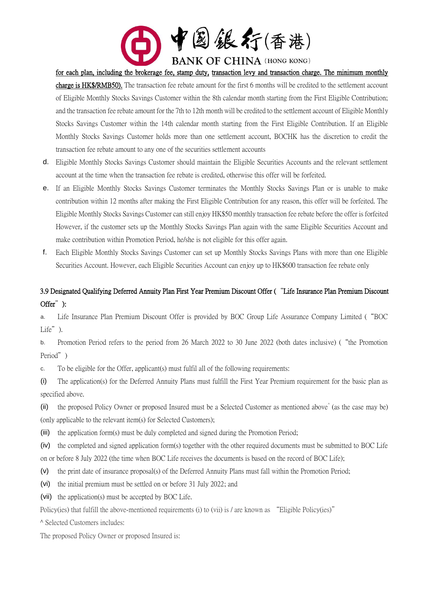

for each plan, including the brokerage fee, stamp duty, transaction levy and transaction charge. The minimum monthly

charge is HK\$/RMB50). The transaction fee rebate amount for the first 6 months will be credited to the settlement account of Eligible Monthly Stocks Savings Customer within the 8th calendar month starting from the First Eligible Contribution; and the transaction fee rebate amount for the 7th to 12th month will be credited to the settlement account of Eligible Monthly Stocks Savings Customer within the 14th calendar month starting from the First Eligible Contribution. If an Eligible Monthly Stocks Savings Customer holds more than one settlement account, BOCHK has the discretion to credit the transaction fee rebate amount to any one of the securities settlement accounts

- d. Eligible Monthly Stocks Savings Customer should maintain the Eligible Securities Accounts and the relevant settlement account at the time when the transaction fee rebate is credited, otherwise this offer will be forfeited.
- e. If an Eligible Monthly Stocks Savings Customer terminates the Monthly Stocks Savings Plan or is unable to make contribution within 12 months after making the First Eligible Contribution for any reason, this offer will be forfeited. The Eligible Monthly Stocks Savings Customer can still enjoy HK\$50 monthly transaction fee rebate before the offer is forfeited However, if the customer sets up the Monthly Stocks Savings Plan again with the same Eligible Securities Account and make contribution within Promotion Period, he/she is not eligible for this offer again.
- f. Each Eligible Monthly Stocks Savings Customer can set up Monthly Stocks Savings Plans with more than one Eligible Securities Account. However, each Eligible Securities Account can enjoy up to HK\$600 transaction fee rebate only

# 3.9 Designated Qualifying Deferred Annuity Plan First Year Premium Discount Offer ("Life Insurance Plan Premium Discount Offer"):

a. Life Insurance Plan Premium Discount Offer is provided by BOC Group Life Assurance Company Limited ("BOC Life").

b. Promotion Period refers to the period from 26 March 2022 to 30 June 2022 (both dates inclusive) ("the Promotion Period")

c. To be eligible for the Offer, applicant(s) must fulfil all of the following requirements:

(i) The application(s) for the Deferred Annuity Plans must fulfill the First Year Premium requirement for the basic plan as specified above.

(ii) the proposed Policy Owner or proposed Insured must be a Selected Customer as mentioned above<sup>^</sup> (as the case may be) (only applicable to the relevant item(s) for Selected Customers);

(iii) the application form(s) must be duly completed and signed during the Promotion Period;

(iv) the completed and signed application form(s) together with the other required documents must be submitted to BOC Life on or before 8 July 2022 (the time when BOC Life receives the documents is based on the record of BOC Life);

- (v) the print date of insurance proposal(s) of the Deferred Annuity Plans must fall within the Promotion Period;
- (vi) the initial premium must be settled on or before 31 July 2022; and
- (vii) the application(s) must be accepted by BOC Life.

Policy(ies) that fulfill the above-mentioned requirements (i) to (vii) is / are known as "Eligible Policy(ies)"

^ Selected Customers includes:

The proposed Policy Owner or proposed Insured is: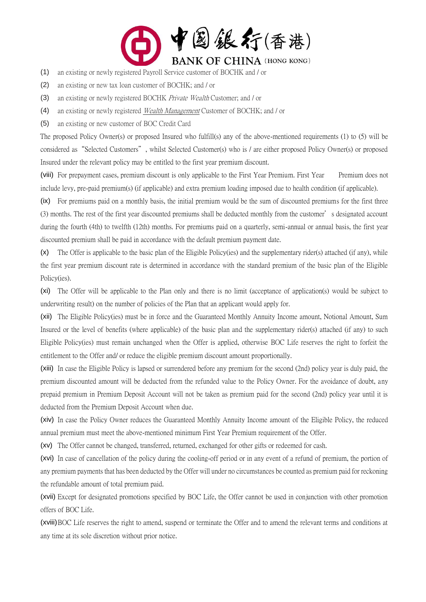

- (1) an existing or newly registered Payroll Service customer of BOCHK and / or
- (2) an existing or new tax loan customer of BOCHK; and / or
- (3) an existing or newly registered BOCHK Private Wealth Customer; and / or
- (4) an existing or newly registered *Wealth Management* Customer of BOCHK; and / or
- (5) an existing or new customer of BOC Credit Card

The proposed Policy Owner(s) or proposed Insured who fulfill(s) any of the above-mentioned requirements (1) to (5) will be considered as"Selected Customers", whilst Selected Customer(s) who is / are either proposed Policy Owner(s) or proposed Insured under the relevant policy may be entitled to the first year premium discount.

(viii) For prepayment cases, premium discount is only applicable to the First Year Premium. First Year Premium does not include levy, pre-paid premium(s) (if applicable) and extra premium loading imposed due to health condition (if applicable).

(ix) For premiums paid on a monthly basis, the initial premium would be the sum of discounted premiums for the first three (3) months. The rest of the first year discounted premiums shall be deducted monthly from the customer's designated account during the fourth (4th) to twelfth (12th) months. For premiums paid on a quarterly, semi-annual or annual basis, the first year discounted premium shall be paid in accordance with the default premium payment date.

(x) The Offer is applicable to the basic plan of the Eligible Policy(ies) and the supplementary rider(s) attached (if any), while the first year premium discount rate is determined in accordance with the standard premium of the basic plan of the Eligible Policy(ies).

(xi) The Offer will be applicable to the Plan only and there is no limit (acceptance of application(s) would be subject to underwriting result) on the number of policies of the Plan that an applicant would apply for.

(xii) The Eligible Policy(ies) must be in force and the Guaranteed Monthly Annuity Income amount, Notional Amount, Sum Insured or the level of benefits (where applicable) of the basic plan and the supplementary rider(s) attached (if any) to such Eligible Policy(ies) must remain unchanged when the Offer is applied, otherwise BOC Life reserves the right to forfeit the entitlement to the Offer and/ or reduce the eligible premium discount amount proportionally.

(xiii) In case the Eligible Policy is lapsed or surrendered before any premium for the second (2nd) policy year is duly paid, the premium discounted amount will be deducted from the refunded value to the Policy Owner. For the avoidance of doubt, any prepaid premium in Premium Deposit Account will not be taken as premium paid for the second (2nd) policy year until it is deducted from the Premium Deposit Account when due.

(xiv) In case the Policy Owner reduces the Guaranteed Monthly Annuity Income amount of the Eligible Policy, the reduced annual premium must meet the above-mentioned minimum First Year Premium requirement of the Offer.

(xv) The Offer cannot be changed, transferred, returned, exchanged for other gifts or redeemed for cash.

(xvi) In case of cancellation of the policy during the cooling-off period or in any event of a refund of premium, the portion of any premium payments that has been deducted by the Offer will under no circumstances be counted as premium paid for reckoning the refundable amount of total premium paid.

(xvii) Except for designated promotions specified by BOC Life, the Offer cannot be used in conjunction with other promotion offers of BOC Life.

(xviii)BOC Life reserves the right to amend, suspend or terminate the Offer and to amend the relevant terms and conditions at any time at its sole discretion without prior notice.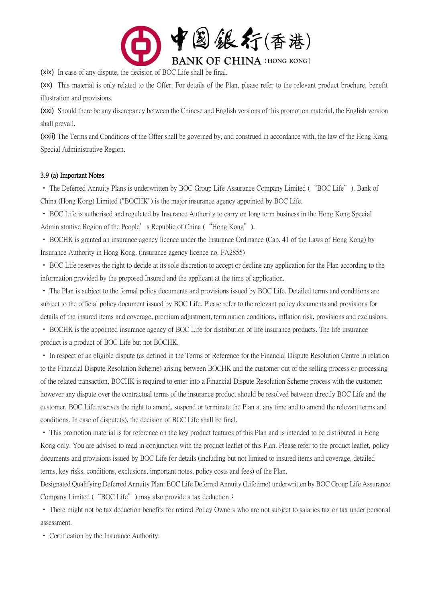

(xix) In case of any dispute, the decision of BOC Life shall be final.

(xx) This material is only related to the Offer. For details of the Plan, please refer to the relevant product brochure, benefit illustration and provisions.

(xxi) Should there be any discrepancy between the Chinese and English versions of this promotion material, the English version shall prevail.

(xxii) The Terms and Conditions of the Offer shall be governed by, and construed in accordance with, the law of the Hong Kong Special Administrative Region.

#### 3.9 (a) Important Notes

• The Deferred Annuity Plans is underwritten by BOC Group Life Assurance Company Limited ("BOC Life"). Bank of China (Hong Kong) Limited ("BOCHK") is the major insurance agency appointed by BOC Life.

• BOC Life is authorised and regulated by Insurance Authority to carry on long term business in the Hong Kong Special Administrative Region of the People's Republic of China ("Hong Kong").

• BOCHK is granted an insurance agency licence under the Insurance Ordinance (Cap. 41 of the Laws of Hong Kong) by Insurance Authority in Hong Kong. (insurance agency licence no. FA2855)

• BOC Life reserves the right to decide at its sole discretion to accept or decline any application for the Plan according to the information provided by the proposed Insured and the applicant at the time of application.

• The Plan is subject to the formal policy documents and provisions issued by BOC Life. Detailed terms and conditions are subject to the official policy document issued by BOC Life. Please refer to the relevant policy documents and provisions for details of the insured items and coverage, premium adjustment, termination conditions, inflation risk, provisions and exclusions.

• BOCHK is the appointed insurance agency of BOC Life for distribution of life insurance products. The life insurance product is a product of BOC Life but not BOCHK.

• In respect of an eligible dispute (as defined in the Terms of Reference for the Financial Dispute Resolution Centre in relation to the Financial Dispute Resolution Scheme) arising between BOCHK and the customer out of the selling process or processing of the related transaction, BOCHK is required to enter into a Financial Dispute Resolution Scheme process with the customer; however any dispute over the contractual terms of the insurance product should be resolved between directly BOC Life and the customer. BOC Life reserves the right to amend, suspend or terminate the Plan at any time and to amend the relevant terms and conditions. In case of dispute(s), the decision of BOC Life shall be final.

• This promotion material is for reference on the key product features of this Plan and is intended to be distributed in Hong Kong only. You are advised to read in conjunction with the product leaflet of this Plan. Please refer to the product leaflet, policy documents and provisions issued by BOC Life for details (including but not limited to insured items and coverage, detailed terms, key risks, conditions, exclusions, important notes, policy costs and fees) of the Plan.

Designated Qualifying Deferred Annuity Plan: BOC Life Deferred Annuity (Lifetime) underwritten by BOC Group Life Assurance Company Limited ("BOC Life") may also provide a tax deduction:

• There might not be tax deduction benefits for retired Policy Owners who are not subject to salaries tax or tax under personal assessment.

• Certification by the Insurance Authority: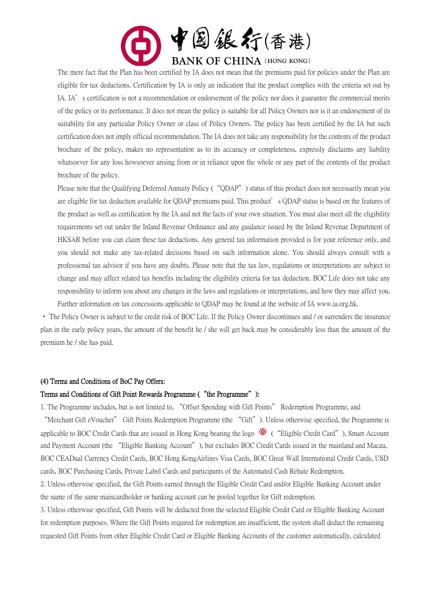

The mere fact that the Plan has been certified by IA does not mean that the premiums paid for policies under the Plan are eligible for tax deductions. Certification by IA is only an indication that the product complies with the criteria set out by IA. IA's certification is not a recommendation or endorsement of the policy nor does it guarantee the commercial merits of the policy or its performance. It does not mean the policy is suitable for all Policy Owners nor is it an endorsement of its suitability for any particular Policy Owner or class of Policy Owners. The policy has been certified by the IA but such certification does not imply official recommendation. The IA does not take any responsibility for the contents of the product brochure of the policy, makes no representation as to its accuracy or completeness, expressly disclaims any liability whatsoever for any loss howsoever arising from or in reliance upon the whole or any part of the contents of the product brochure of the policy.

Please note that the Qualifying Deferred Annuity Policy ("QDAP") status of this product does not necessarily mean you are eligible for tax deduction available for QDAP premiums paid. This product's QDAP status is based on the features of the product as well as certification by the IA and not the facts of your own situation. You must also meet all the eligibility requirements set out under the Inland Revenue Ordinance and any guidance issued by the Inland Revenue Department of HKSAR before you can claim these tax deductions. Any general tax information provided is for your reference only, and you should not make any tax-related decisions based on such information alone. You should always consult with a professional tax advisor if you have any doubts. Please note that the tax law, regulations or interpretations are subject to change and may affect related tax benefits including the eligibility criteria for tax deduction. BOC Life does not take any responsibility to inform you about any changes in the laws and regulations or interpretations, and how they may affect you. Further information on tax concessions applicable to QDAP may be found at the website of IA www.ia.org.hk.

• The Policy Owner is subject to the credit risk of BOC Life. If the Policy Owner discontinues and / or surrenders the insurance plan in the early policy years, the amount of the benefit he / she will get back may be considerably less than the amount of the premium he / she has paid.

#### (4) Terms and Conditions of BoC Pay Offers:

#### Terms and Conditions of Gift Point Rewards Programme ("the Programme"):

1. The Programme includes, but is not limited to, "Offset Spending with Gift Points" Redemption Programme, and

"Merchant Gift eVoucher" Gift Points Redemption Programme (the "Gift"). Unless otherwise specified, the Programme is applicable to BOC Credit Cards that are issued in Hong Kong bearing the logo  $\bullet$  ("Eligible Credit Card"), Smart Account and Payment Account (the "Eligible Banking Account"), but excludes BOC Credit Cards issued in the mainland and Macau, BOC CEADual Currency Credit Cards, BOC Hong KongAirlines Visa Cards, BOC Great Wall International Credit Cards, USD cards, BOC Purchasing Cards, Private Label Cards and participants of the Automated Cash Rebate Redemption.

2. Unless otherwise specified, the Gift Points earned through the Eligible Credit Card and/or Eligible Banking Account under the name of the same maincardholder or banking account can be pooled together for Gift redemption.

3. Unless otherwise specified, Gift Points will be deducted from the selected Eligible Credit Card or Eligible Banking Account for redemption purposes. Where the Gift Points required for redemption are insufficient, the system shall deduct the remaining requested Gift Points from other Eligible Credit Card or Eligible Banking Accounts of the customer automatically, calculated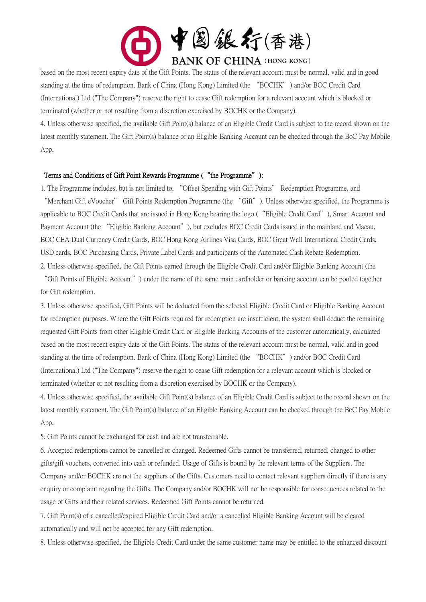

based on the most recent expiry date of the Gift Points. The status of the relevant account must be normal, valid and in good standing at the time of redemption. Bank of China (Hong Kong) Limited (the "BOCHK") and/or BOC Credit Card (International) Ltd ("The Company") reserve the right to cease Gift redemption for a relevant account which is blocked or terminated (whether or not resulting from a discretion exercised by BOCHK or the Company).

4. Unless otherwise specified, the available Gift Point(s) balance of an Eligible Credit Card is subject to the record shown on the latest monthly statement. The Gift Point(s) balance of an Eligible Banking Account can be checked through the BoC Pay Mobile App.

#### Terms and Conditions of Gift Point Rewards Programme ("the Programme"):

1. The Programme includes, but is not limited to, "Offset Spending with Gift Points" Redemption Programme, and "Merchant Gift eVoucher" Gift Points Redemption Programme (the "Gift"). Unless otherwise specified, the Programme is applicable to BOC Credit Cards that are issued in Hong Kong bearing the logo ("Eligible Credit Card"), Smart Account and Payment Account (the "Eligible Banking Account"), but excludes BOC Credit Cards issued in the mainland and Macau, BOC CEA Dual Currency Credit Cards, BOC Hong Kong Airlines Visa Cards, BOC Great Wall International Credit Cards, USD cards, BOC Purchasing Cards, Private Label Cards and participants of the Automated Cash Rebate Redemption.

2. Unless otherwise specified, the Gift Points earned through the Eligible Credit Card and/or Eligible Banking Account (the "Gift Points of Eligible Account") under the name of the same main cardholder or banking account can be pooled together for Gift redemption.

3. Unless otherwise specified, Gift Points will be deducted from the selected Eligible Credit Card or Eligible Banking Account for redemption purposes. Where the Gift Points required for redemption are insufficient, the system shall deduct the remaining requested Gift Points from other Eligible Credit Card or Eligible Banking Accounts of the customer automatically, calculated based on the most recent expiry date of the Gift Points. The status of the relevant account must be normal, valid and in good standing at the time of redemption. Bank of China (Hong Kong) Limited (the "BOCHK") and/or BOC Credit Card (International) Ltd ("The Company") reserve the right to cease Gift redemption for a relevant account which is blocked or terminated (whether or not resulting from a discretion exercised by BOCHK or the Company).

4. Unless otherwise specified, the available Gift Point(s) balance of an Eligible Credit Card is subject to the record shown on the latest monthly statement. The Gift Point(s) balance of an Eligible Banking Account can be checked through the BoC Pay Mobile App.

5. Gift Points cannot be exchanged for cash and are not transferrable.

6. Accepted redemptions cannot be cancelled or changed. Redeemed Gifts cannot be transferred, returned, changed to other gifts/gift vouchers, converted into cash or refunded. Usage of Gifts is bound by the relevant terms of the Suppliers. The Company and/or BOCHK are not the suppliers of the Gifts. Customers need to contact relevant suppliers directly if there is any enquiry or complaint regarding the Gifts. The Company and/or BOCHK will not be responsible for consequences related to the usage of Gifts and their related services. Redeemed Gift Points cannot be returned.

7. Gift Point(s) of a cancelled/expired Eligible Credit Card and/or a cancelled Eligible Banking Account will be cleared automatically and will not be accepted for any Gift redemption.

8. Unless otherwise specified, the Eligible Credit Card under the same customer name may be entitled to the enhanced discount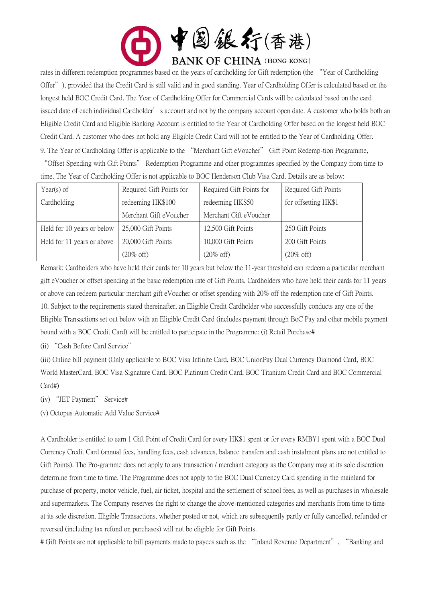

rates in different redemption programmes based on the years of cardholding for Gift redemption (the "Year of Cardholding Offer"), provided that the Credit Card is still valid and in good standing. Year of Cardholding Offer is calculated based on the longest held BOC Credit Card. The Year of Cardholding Offer for Commercial Cards will be calculated based on the card issued date of each individual Cardholder's account and not by the company account open date. A customer who holds both an Eligible Credit Card and Eligible Banking Account is entitled to the Year of Cardholding Offer based on the longest held BOC Credit Card. A customer who does not hold any Eligible Credit Card will not be entitled to the Year of Cardholding Offer. 9. The Year of Cardholding Offer is applicable to the "Merchant Gift eVoucher" Gift Point Redemp-tion Programme,

"Offset Spending with Gift Points" Redemption Programme and other programmes specified by the Company from time to time. The Year of Cardholding Offer is not applicable to BOC Henderson Club Visa Card. Details are as below:

| Year(s) of                 | Required Gift Points for | Required Gift Points for | Required Gift Points |
|----------------------------|--------------------------|--------------------------|----------------------|
| Cardholding                | redeeming HK\$100        | redeeming HK\$50         | for offsetting HK\$1 |
|                            | Merchant Gift eVoucher   | Merchant Gift eVoucher   |                      |
| Held for 10 years or below | 25,000 Gift Points       | 12,500 Gift Points       | 250 Gift Points      |
| Held for 11 years or above | 20,000 Gift Points       | 10,000 Gift Points       | 200 Gift Points      |
|                            | $(20\% \text{ off})$     | $(20\% \text{ off})$     | $(20\% \text{ off})$ |

Remark: Cardholders who have held their cards for 10 years but below the 11-year threshold can redeem a particular merchant gift eVoucher or offset spending at the basic redemption rate of Gift Points. Cardholders who have held their cards for 11 years or above can redeem particular merchant gift eVoucher or offset spending with 20% off the redemption rate of Gift Points. 10. Subject to the requirements stated thereinafter, an Eligible Credit Cardholder who successfully conducts any one of the Eligible Transactions set out below with an Eligible Credit Card (includes payment through BoC Pay and other mobile payment bound with a BOC Credit Card) will be entitled to participate in the Programme: (i) Retail Purchase#

(ii) "Cash Before Card Service"

(iii) Online bill payment (Only applicable to BOC Visa Infinite Card, BOC UnionPay Dual Currency Diamond Card, BOC World MasterCard, BOC Visa Signature Card, BOC Platinum Credit Card, BOC Titanium Credit Card and BOC Commercial Card#)

(iv) "JET Payment" Service#

(v) Octopus Automatic Add Value Service#

A Cardholder is entitled to earn 1 Gift Point of Credit Card for every HK\$1 spent or for every RMB¥1 spent with a BOC Dual Currency Credit Card (annual fees, handling fees, cash advances, balance transfers and cash instalment plans are not entitled to Gift Points). The Pro-gramme does not apply to any transaction / merchant category as the Company may at its sole discretion determine from time to time. The Programme does not apply to the BOC Dual Currency Card spending in the mainland for purchase of property, motor vehicle, fuel, air ticket, hospital and the settlement of school fees, as well as purchases in wholesale and supermarkets. The Company reserves the right to change the above-mentioned categories and merchants from time to time at its sole discretion. Eligible Transactions, whether posted or not, which are subsequently partly or fully cancelled, refunded or reversed (including tax refund on purchases) will not be eligible for Gift Points.

# Gift Points are not applicable to bill payments made to payees such as the "Inland Revenue Department", "Banking and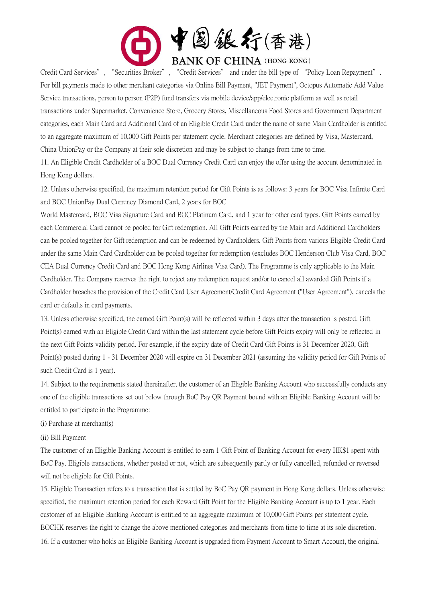

Credit Card Services", "Securities Broker", "Credit Services" and under the bill type of "Policy Loan Repayment". For bill payments made to other merchant categories via Online Bill Payment, "JET Payment", Octopus Automatic Add Value Service transactions, person to person (P2P) fund transfers via mobile device/app/electronic platform as well as retail transactions under Supermarket, Convenience Store, Grocery Stores, Miscellaneous Food Stores and Government Department categories, each Main Card and Additional Card of an Eligible Credit Card under the name of same Main Cardholder is entitled to an aggregate maximum of 10,000 Gift Points per statement cycle. Merchant categories are defined by Visa, Mastercard, China UnionPay or the Company at their sole discretion and may be subject to change from time to time.

11. An Eligible Credit Cardholder of a BOC Dual Currency Credit Card can enjoy the offer using the account denominated in Hong Kong dollars.

12. Unless otherwise specified, the maximum retention period for Gift Points is as follows: 3 years for BOC Visa Infinite Card and BOC UnionPay Dual Currency Diamond Card, 2 years for BOC

World Mastercard, BOC Visa Signature Card and BOC Platinum Card, and 1 year for other card types. Gift Points earned by each Commercial Card cannot be pooled for Gift redemption. All Gift Points earned by the Main and Additional Cardholders can be pooled together for Gift redemption and can be redeemed by Cardholders. Gift Points from various Eligible Credit Card under the same Main Card Cardholder can be pooled together for redemption (excludes BOC Henderson Club Visa Card, BOC CEA Dual Currency Credit Card and BOC Hong Kong Airlines Visa Card). The Programme is only applicable to the Main Cardholder. The Company reserves the right to reject any redemption request and/or to cancel all awarded Gift Points if a Cardholder breaches the provision of the Credit Card User Agreement/Credit Card Agreement ("User Agreement"), cancels the card or defaults in card payments.

13. Unless otherwise specified, the earned Gift Point(s) will be reflected within 3 days after the transaction is posted. Gift Point(s) earned with an Eligible Credit Card within the last statement cycle before Gift Points expiry will only be reflected in the next Gift Points validity period. For example, if the expiry date of Credit Card Gift Points is 31 December 2020, Gift Point(s) posted during 1 - 31 December 2020 will expire on 31 December 2021 (assuming the validity period for Gift Points of such Credit Card is 1 year).

14. Subject to the requirements stated thereinafter, the customer of an Eligible Banking Account who successfully conducts any one of the eligible transactions set out below through BoC Pay QR Payment bound with an Eligible Banking Account will be entitled to participate in the Programme:

(i) Purchase at merchant(s)

(ii) Bill Payment

The customer of an Eligible Banking Account is entitled to earn 1 Gift Point of Banking Account for every HK\$1 spent with BoC Pay. Eligible transactions, whether posted or not, which are subsequently partly or fully cancelled, refunded or reversed will not be eligible for Gift Points.

15. Eligible Transaction refers to a transaction that is settled by BoC Pay QR payment in Hong Kong dollars. Unless otherwise specified, the maximum retention period for each Reward Gift Point for the Eligible Banking Account is up to 1 year. Each customer of an Eligible Banking Account is entitled to an aggregate maximum of 10,000 Gift Points per statement cycle. BOCHK reserves the right to change the above mentioned categories and merchants from time to time at its sole discretion. 16. If a customer who holds an Eligible Banking Account is upgraded from Payment Account to Smart Account, the original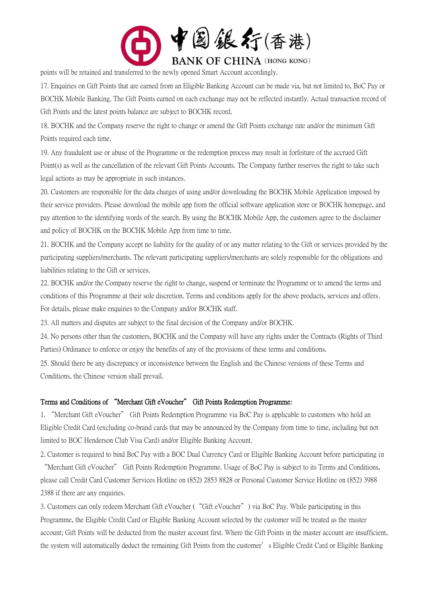

points will be retained and transferred to the newly opened Smart Account accordingly.

17. Enquiries on Gift Points that are earned from an Eligible Banking Account can be made via, but not limited to, BoC Pay or BOCHK Mobile Banking. The Gift Points earned on each exchange may not be reflected instantly. Actual transaction record of Gift Points and the latest points balance are subject to BOCHK record.

18. BOCHK and the Company reserve the right to change or amend the Gift Points exchange rate and/or the minimum Gift Points required each time.

19. Any fraudulent use or abuse of the Programme or the redemption process may result in forfeiture of the accrued Gift Point(s) as well as the cancellation of the relevant Gift Points Accounts. The Company further reserves the right to take such legal actions as may be appropriate in such instances.

20. Customers are responsible for the data charges of using and/or downloading the BOCHK Mobile Application imposed by their service providers. Please download the mobile app from the official software application store or BOCHK homepage, and pay attention to the identifying words of the search. By using the BOCHK Mobile App, the customers agree to the disclaimer and policy of BOCHK on the BOCHK Mobile App from time to time.

21. BOCHK and the Company accept no liability for the quality of or any matter relating to the Gift or services provided by the participating suppliers/merchants. The relevant participating suppliers/merchants are solely responsible for the obligations and liabilities relating to the Gift or services.

22. BOCHK and/or the Company reserve the right to change, suspend or terminate the Programme or to amend the terms and conditions of this Programme at their sole discretion. Terms and conditions apply for the above products, services and offers. For details, please make enquiries to the Company and/or BOCHK staff.

23. All matters and disputes are subject to the final decision of the Company and/or BOCHK.

24. No persons other than the customers, BOCHK and the Company will have any rights under the Contracts (Rights of Third Parties) Ordinance to enforce or enjoy the benefits of any of the provisions of these terms and conditions.

25. Should there be any discrepancy or inconsistence between the English and the Chinese versions of these Terms and Conditions, the Chinese version shall prevail.

# Terms and Conditions of "Merchant Gift eVoucher" Gift Points Redemption Programme:

1. "Merchant Gift eVoucher" Gift Points Redemption Programme via BoC Pay is applicable to customers who hold an Eligible Credit Card (excluding co-brand cards that may be announced by the Company from time to time, including but not limited to BOC Henderson Club Visa Card) and/or Eligible Banking Account.

2. Customer is required to bind BoC Pay with a BOC Dual Currency Card or Eligible Banking Account before participating in "Merchant Gift eVoucher" Gift Points Redemption Programme. Usage of BoC Pay is subject to its Terms and Conditions, please call Credit Card Customer Services Hotline on (852) 2853 8828 or Personal Customer Service Hotline on (852) 3988 2388 if there are any enquiries.

3. Customers can only redeem Merchant Gift eVoucher ("Gift eVoucher") via BoC Pay. While participating in this Programme, the Eligible Credit Card or Eligible Banking Account selected by the customer will be treated as the master account; Gift Points will be deducted from the master account first. Where the Gift Points in the master account are insufficient, the system will automatically deduct the remaining Gift Points from the customer's Eligible Credit Card or Eligible Banking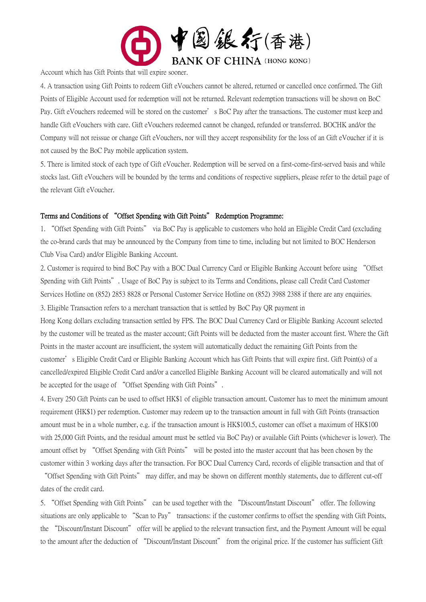

Account which has Gift Points that will expire sooner.

4. A transaction using Gift Points to redeem Gift eVouchers cannot be altered, returned or cancelled once confirmed. The Gift Points of Eligible Account used for redemption will not be returned. Relevant redemption transactions will be shown on BoC Pay. Gift eVouchers redeemed will be stored on the customer's BoC Pay after the transactions. The customer must keep and handle Gift eVouchers with care. Gift eVouchers redeemed cannot be changed, refunded or transferred. BOCHK and/or the Company will not reissue or change Gift eVouchers, nor will they accept responsibility for the loss of an Gift eVoucher if it is not caused by the BoC Pay mobile application system.

5. There is limited stock of each type of Gift eVoucher. Redemption will be served on a first-come-first-served basis and while stocks last. Gift eVouchers will be bounded by the terms and conditions of respective suppliers, please refer to the detail page of the relevant Gift eVoucher.

# Terms and Conditions of "Offset Spending with Gift Points" Redemption Programme:

1. "Offset Spending with Gift Points" via BoC Pay is applicable to customers who hold an Eligible Credit Card (excluding the co-brand cards that may be announced by the Company from time to time, including but not limited to BOC Henderson Club Visa Card) and/or Eligible Banking Account.

2. Customer is required to bind BoC Pay with a BOC Dual Currency Card or Eligible Banking Account before using "Offset Spending with Gift Points". Usage of BoC Pay is subject to its Terms and Conditions, please call Credit Card Customer Services Hotline on (852) 2853 8828 or Personal Customer Service Hotline on (852) 3988 2388 if there are any enquiries. 3. Eligible Transaction refers to a merchant transaction that is settled by BoC Pay QR payment in

Hong Kong dollars excluding transaction settled by FPS. The BOC Dual Currency Card or Eligible Banking Account selected by the customer will be treated as the master account; Gift Points will be deducted from the master account first. Where the Gift Points in the master account are insufficient, the system will automatically deduct the remaining Gift Points from the customer's Eligible Credit Card or Eligible Banking Account which has Gift Points that will expire first. Gift Point(s) of a cancelled/expired Eligible Credit Card and/or a cancelled Eligible Banking Account will be cleared automatically and will not be accepted for the usage of "Offset Spending with Gift Points".

4. Every 250 Gift Points can be used to offset HK\$1 of eligible transaction amount. Customer has to meet the minimum amount requirement (HK\$1) per redemption. Customer may redeem up to the transaction amount in full with Gift Points (transaction amount must be in a whole number, e.g. if the transaction amount is HK\$100.5, customer can offset a maximum of HK\$100 with 25,000 Gift Points, and the residual amount must be settled via BoC Pay) or available Gift Points (whichever is lower). The amount offset by "Offset Spending with Gift Points" will be posted into the master account that has been chosen by the customer within 3 working days after the transaction. For BOC Dual Currency Card, records of eligible transaction and that of

"Offset Spending with Gift Points" may differ, and may be shown on different monthly statements, due to different cut-off dates of the credit card.

5. "Offset Spending with Gift Points" can be used together with the "Discount/Instant Discount" offer. The following situations are only applicable to "Scan to Pay" transactions: if the customer confirms to offset the spending with Gift Points, the "Discount/Instant Discount" offer will be applied to the relevant transaction first, and the Payment Amount will be equal to the amount after the deduction of "Discount/Instant Discount" from the original price. If the customer has sufficient Gift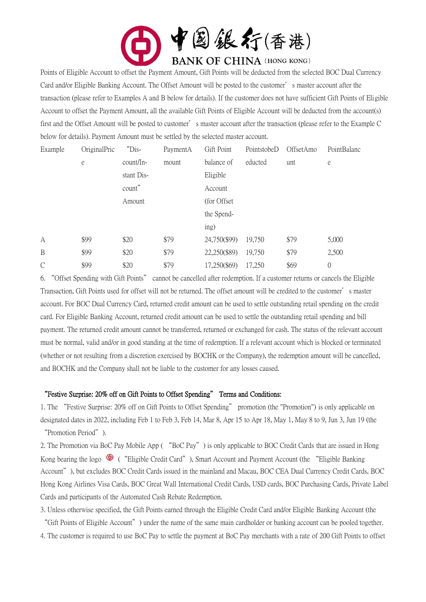

Points of Eligible Account to offset the Payment Amount, Gift Points will be deducted from the selected BOC Dual Currency Card and/or Eligible Banking Account. The Offset Amount will be posted to the customer's master account after the transaction (please refer to Examples A and B below for details). If the customer does not have sufficient Gift Points of Eligible Account to offset the Payment Amount, all the available Gift Points of Eligible Account will be deducted from the account(s) first and the Offset Amount will be posted to customer's master account after the transaction (please refer to the Example C below for details). Payment Amount must be settled by the selected master account.

| Example       | OriginalPric | "Dis-      | PaymentA | Gift Point   | PointstobeD | OffsetAmo | PointBalanc |
|---------------|--------------|------------|----------|--------------|-------------|-----------|-------------|
|               | e            | count/In-  | mount    | balance of   | educted     | unt       | e           |
|               |              | stant Dis- |          | Eligible     |             |           |             |
|               |              | count"     |          | Account      |             |           |             |
|               |              | Amount     |          | (for Offset) |             |           |             |
|               |              |            |          | the Spend-   |             |           |             |
|               |              |            |          | ing)         |             |           |             |
| А             | \$99         | \$20       | \$79     | 24,750(\$99) | 19,750      | \$79      | 5,000       |
| B             | \$99         | \$20       | \$79     | 22,250(\$89) | 19,750      | \$79      | 2,500       |
| $\mathcal{C}$ | \$99         | \$20       | \$79     | 17,250(\$69) | 17,250      | \$69      | 0           |

6. "Offset Spending with Gift Points" cannot be cancelled after redemption. If a customer returns or cancels the Eligible Transaction, Gift Points used for offset will not be returned. The offset amount will be credited to the customer's master account. For BOC Dual Currency Card, returned credit amount can be used to settle outstanding retail spending on the credit card. For Eligible Banking Account, returned credit amount can be used to settle the outstanding retail spending and bill payment. The returned credit amount cannot be transferred, returned or exchanged for cash. The status of the relevant account must be normal, valid and/or in good standing at the time of redemption. If a relevant account which is blocked or terminated (whether or not resulting from a discretion exercised by BOCHK or the Company), the redemption amount will be cancelled, and BOCHK and the Company shall not be liable to the customer for any losses caused.

#### "Festive Surprise: 20% off on Gift Points to Offset Spending" Terms and Conditions:

1. The "Festive Surprise: 20% off on Gift Points to Offset Spending" promotion (the "Promotion") is only applicable on designated dates in 2022, including Feb 1 to Feb 3, Feb 14, Mar 8, Apr 15 to Apr 18, May 1, May 8 to 9, Jun 3, Jun 19 (the "Promotion Period").

2. The Promotion via BoC Pay Mobile App ( "BoC Pay") is only applicable to BOC Credit Cards that are issued in Hong Kong bearing the logo  $\bullet$  ( "Eligible Credit Card"), Smart Account and Payment Account (the "Eligible Banking Account"), but excludes BOC Credit Cards issued in the mainland and Macau, BOC CEA Dual Currency Credit Cards, BOC Hong Kong Airlines Visa Cards, BOC Great Wall International Credit Cards, USD cards, BOC Purchasing Cards, Private Label Cards and participants of the Automated Cash Rebate Redemption.

3. Unless otherwise specified, the Gift Points earned through the Eligible Credit Card and/or Eligible Banking Account (the "Gift Points of Eligible Account") under the name of the same main cardholder or banking account can be pooled together.

4. The customer is required to use BoC Pay to settle the payment at BoC Pay merchants with a rate of 200 Gift Points to offset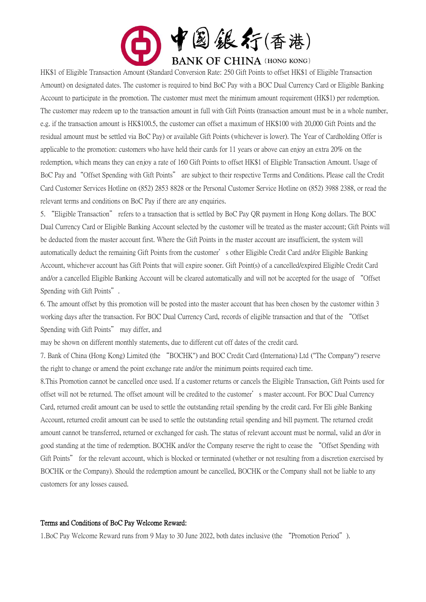

HK\$1 of Eligible Transaction Amount (Standard Conversion Rate: 250 Gift Points to offset HK\$1 of Eligible Transaction Amount) on designated dates. The customer is required to bind BoC Pay with a BOC Dual Currency Card or Eligible Banking Account to participate in the promotion. The customer must meet the minimum amount requirement (HK\$1) per redemption. The customer may redeem up to the transaction amount in full with Gift Points (transaction amount must be in a whole number, e.g. if the transaction amount is HK\$100.5, the customer can offset a maximum of HK\$100 with 20,000 Gift Points and the residual amount must be settled via BoC Pay) or available Gift Points (whichever is lower). The Year of Cardholding Offer is applicable to the promotion: customers who have held their cards for 11 years or above can enjoy an extra 20% on the redemption, which means they can enjoy a rate of 160 Gift Points to offset HK\$1 of Eligible Transaction Amount. Usage of BoC Pay and"Offset Spending with Gift Points" are subject to their respective Terms and Conditions. Please call the Credit Card Customer Services Hotline on (852) 2853 8828 or the Personal Customer Service Hotline on (852) 3988 2388, or read the relevant terms and conditions on BoC Pay if there are any enquiries.

5. "Eligible Transaction" refers to a transaction that is settled by BoC Pay QR payment in Hong Kong dollars. The BOC Dual Currency Card or Eligible Banking Account selected by the customer will be treated as the master account; Gift Points will be deducted from the master account first. Where the Gift Points in the master account are insufficient, the system will automatically deduct the remaining Gift Points from the customer's other Eligible Credit Card and/or Eligible Banking Account, whichever account has Gift Points that will expire sooner. Gift Point(s) of a cancelled/expired Eligible Credit Card and/or a cancelled Eligible Banking Account will be cleared automatically and will not be accepted for the usage of "Offset Spending with Gift Points".

6. The amount offset by this promotion will be posted into the master account that has been chosen by the customer within 3 working days after the transaction. For BOC Dual Currency Card, records of eligible transaction and that of the "Offset Spending with Gift Points" may differ, and

may be shown on different monthly statements, due to different cut off dates of the credit card.

7. Bank of China (Hong Kong) Limited (the "BOCHK") and BOC Credit Card (Internationa) Ltd ("The Company") reserve the right to change or amend the point exchange rate and/or the minimum points required each time.

8.This Promotion cannot be cancelled once used. If a customer returns or cancels the Eligible Transaction, Gift Points used for offset will not be returned. The offset amount will be credited to the customer's master account. For BOC Dual Currency Card, returned credit amount can be used to settle the outstanding retail spending by the credit card. For Eli gible Banking Account, returned credit amount can be used to settle the outstanding retail spending and bill payment. The returned credit amount cannot be transferred, returned or exchanged for cash. The status of relevant account must be normal, valid an d/or in good standing at the time of redemption. BOCHK and/or the Company reserve the right to cease the "Offset Spending with Gift Points" for the relevant account, which is blocked or terminated (whether or not resulting from a discretion exercised by BOCHK or the Company). Should the redemption amount be cancelled, BOCHK or the Company shall not be liable to any customers for any losses caused.

#### Terms and Conditions of BoC Pay Welcome Reward:

1.BoC Pay Welcome Reward runs from 9 May to 30 June 2022, both dates inclusive (the "Promotion Period").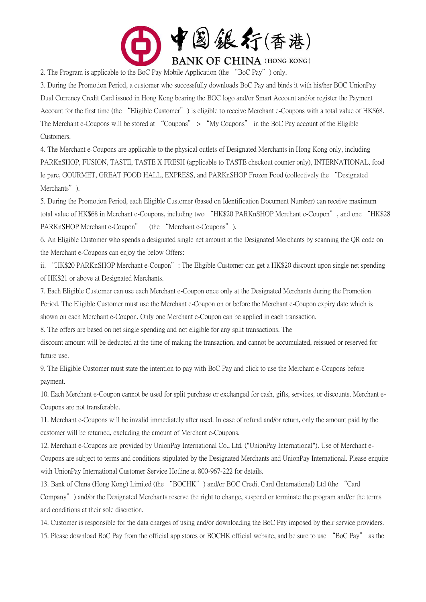

2. The Program is applicable to the BoC Pay Mobile Application (the "BoC Pay") only.

3. During the Promotion Period, a customer who successfully downloads BoC Pay and binds it with his/her BOC UnionPay Dual Currency Credit Card issued in Hong Kong bearing the BOC logo and/or Smart Account and/or register the Payment Account for the first time (the "Eligible Customer") is eligible to receive Merchant e-Coupons with a total value of HK\$68. The Merchant e-Coupons will be stored at "Coupons" > "My Coupons" in the BoC Pay account of the Eligible Customers.

4. The Merchant e-Coupons are applicable to the physical outlets of Designated Merchants in Hong Kong only, including PARKnSHOP, FUSION, TASTE, TASTE X FRESH (applicable to TASTE checkout counter only), INTERNATIONAL, food le parc, GOURMET, GREAT FOOD HALL, EXPRESS, and PARKnSHOP Frozen Food (collectively the "Designated Merchants").

5. During the Promotion Period, each Eligible Customer (based on Identification Document Number) can receive maximum total value of HK\$68 in Merchant e-Coupons, including two "HK\$20 PARKnSHOP Merchant e-Coupon", and one "HK\$28 PARKnSHOP Merchant e-Coupon" (the "Merchant e-Coupons").

6. An Eligible Customer who spends a designated single net amount at the Designated Merchants by scanning the QR code on the Merchant e-Coupons can enjoy the below Offers:

ii. "HK\$20 PARKnSHOP Merchant e-Coupon": The Eligible Customer can get a HK\$20 discount upon single net spending of HK\$21 or above at Designated Merchants.

7. Each Eligible Customer can use each Merchant e-Coupon once only at the Designated Merchants during the Promotion Period. The Eligible Customer must use the Merchant e-Coupon on or before the Merchant e-Coupon expiry date which is shown on each Merchant e-Coupon. Only one Merchant e-Coupon can be applied in each transaction.

8. The offers are based on net single spending and not eligible for any split transactions. The

discount amount will be deducted at the time of making the transaction, and cannot be accumulated, reissued or reserved for future use.

9. The Eligible Customer must state the intention to pay with BoC Pay and click to use the Merchant e-Coupons before payment.

10. Each Merchant e-Coupon cannot be used for split purchase or exchanged for cash, gifts, services, or discounts. Merchant e-Coupons are not transferable.

11. Merchant e-Coupons will be invalid immediately after used. In case of refund and/or return, only the amount paid by the customer will be returned, excluding the amount of Merchant e-Coupons.

12. Merchant e-Coupons are provided by UnionPay International Co., Ltd. ("UnionPay International"). Use of Merchant e-Coupons are subject to terms and conditions stipulated by the Designated Merchants and UnionPay International. Please enquire with UnionPay International Customer Service Hotline at 800-967-222 for details.

13. Bank of China (Hong Kong) Limited (the "BOCHK") and/or BOC Credit Card (International) Ltd (the "Card Company") and/or the Designated Merchants reserve the right to change, suspend or terminate the program and/or the terms and conditions at their sole discretion.

14. Customer is responsible for the data charges of using and/or downloading the BoC Pay imposed by their service providers.

15. Please download BoC Pay from the official app stores or BOCHK official website, and be sure to use "BoC Pay" as the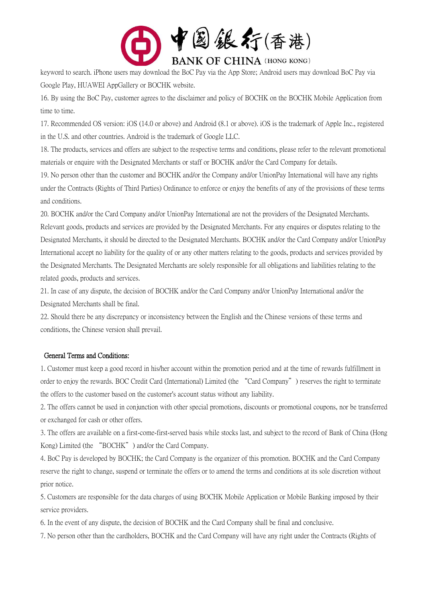

keyword to search. iPhone users may download the BoC Pay via the App Store; Android users may download BoC Pay via Google Play, HUAWEI AppGallery or BOCHK website.

16. By using the BoC Pay, customer agrees to the disclaimer and policy of BOCHK on the BOCHK Mobile Application from time to time.

17. Recommended OS version: iOS (14.0 or above) and Android (8.1 or above). iOS is the trademark of Apple Inc., registered in the U.S. and other countries. Android is the trademark of Google LLC.

18. The products, services and offers are subject to the respective terms and conditions, please refer to the relevant promotional materials or enquire with the Designated Merchants or staff or BOCHK and/or the Card Company for details.

19. No person other than the customer and BOCHK and/or the Company and/or UnionPay International will have any rights under the Contracts (Rights of Third Parties) Ordinance to enforce or enjoy the benefits of any of the provisions of these terms and conditions.

20. BOCHK and/or the Card Company and/or UnionPay International are not the providers of the Designated Merchants. Relevant goods, products and services are provided by the Designated Merchants. For any enquires or disputes relating to the Designated Merchants, it should be directed to the Designated Merchants. BOCHK and/or the Card Company and/or UnionPay International accept no liability for the quality of or any other matters relating to the goods, products and services provided by the Designated Merchants. The Designated Merchants are solely responsible for all obligations and liabilities relating to the related goods, products and services.

21. In case of any dispute, the decision of BOCHK and/or the Card Company and/or UnionPay International and/or the Designated Merchants shall be final.

22. Should there be any discrepancy or inconsistency between the English and the Chinese versions of these terms and conditions, the Chinese version shall prevail.

#### General Terms and Conditions:

1. Customer must keep a good record in his/her account within the promotion period and at the time of rewards fulfillment in order to enjoy the rewards. BOC Credit Card (International) Limited (the "Card Company") reserves the right to terminate the offers to the customer based on the customer's account status without any liability.

2. The offers cannot be used in conjunction with other special promotions, discounts or promotional coupons, nor be transferred or exchanged for cash or other offers.

3. The offers are available on a first-come-first-served basis while stocks last, and subject to the record of Bank of China (Hong Kong) Limited (the "BOCHK") and/or the Card Company.

4. BoC Pay is developed by BOCHK; the Card Company is the organizer of this promotion. BOCHK and the Card Company reserve the right to change, suspend or terminate the offers or to amend the terms and conditions at its sole discretion without prior notice.

5. Customers are responsible for the data charges of using BOCHK Mobile Application or Mobile Banking imposed by their service providers.

6. In the event of any dispute, the decision of BOCHK and the Card Company shall be final and conclusive.

7. No person other than the cardholders, BOCHK and the Card Company will have any right under the Contracts (Rights of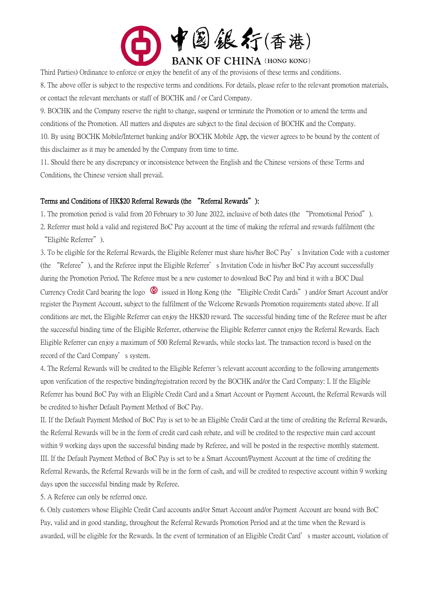

Third Parties) Ordinance to enforce or enjoy the benefit of any of the provisions of these terms and conditions.

8. The above offer is subject to the respective terms and conditions. For details, please refer to the relevant promotion materials, or contact the relevant merchants or staff of BOCHK and / or Card Company.

9. BOCHK and the Company reserve the right to change, suspend or terminate the Promotion or to amend the terms and conditions of the Promotion. All matters and disputes are subject to the final decision of BOCHK and the Company.

10. By using BOCHK Mobile/Internet banking and/or BOCHK Mobile App, the viewer agrees to be bound by the content of this disclaimer as it may be amended by the Company from time to time.

11. Should there be any discrepancy or inconsistence between the English and the Chinese versions of these Terms and Conditions, the Chinese version shall prevail.

### Terms and Conditions of HK\$20 Referral Rewards (the "Referral Rewards"):

1. The promotion period is valid from 20 February to 30 June 2022, inclusive of both dates (the "Promotional Period").

2. Referrer must hold a valid and registered BoC Pay account at the time of making the referral and rewards fulfilment (the "Eligible Referrer").

3. To be eligible for the Referral Rewards, the Eligible Referrer must share his/her BoC Pay's Invitation Code with a customer (the "Referee"), and the Referee input the Eligible Referrer's Invitation Code in his/her BoC Pay account successfully during the Promotion Period. The Referee must be a new customer to download BoC Pay and bind it with a BOC Dual Currency Credit Card bearing the logo  $\bigcirc$  issued in Hong Kong (the "Eligible Credit Cards") and/or Smart Account and/or register the Payment Account, subject to the fulfilment of the Welcome Rewards Promotion requirements stated above. If all conditions are met, the Eligible Referrer can enjoy the HK\$20 reward. The successful binding time of the Referee must be after the successful binding time of the Eligible Referrer, otherwise the Eligible Referrer cannot enjoy the Referral Rewards. Each Eligible Referrer can enjoy a maximum of 500 Referral Rewards, while stocks last. The transaction record is based on the record of the Card Company's system.

4. The Referral Rewards will be credited to the Eligible Referrer 's relevant account according to the following arrangements upon verification of the respective binding/registration record by the BOCHK and/or the Card Company: I. If the Eligible Referrer has bound BoC Pay with an Eligible Credit Card and a Smart Account or Payment Account, the Referral Rewards will be credited to his/her Default Payment Method of BoC Pay.

II. If the Default Payment Method of BoC Pay is set to be an Eligible Credit Card at the time of crediting the Referral Rewards, the Referral Rewards will be in the form of credit card cash rebate, and will be credited to the respective main card account within 9 working days upon the successful binding made by Referee, and will be posted in the respective monthly statement. III. If the Default Payment Method of BoC Pay is set to be a Smart Account/Payment Account at the time of crediting the Referral Rewards, the Referral Rewards will be in the form of cash, and will be credited to respective account within 9 working days upon the successful binding made by Referee.

5. A Referee can only be referred once.

6. Only customers whose Eligible Credit Card accounts and/or Smart Account and/or Payment Account are bound with BoC Pay, valid and in good standing, throughout the Referral Rewards Promotion Period and at the time when the Reward is awarded, will be eligible for the Rewards. In the event of termination of an Eligible Credit Card's master account, violation of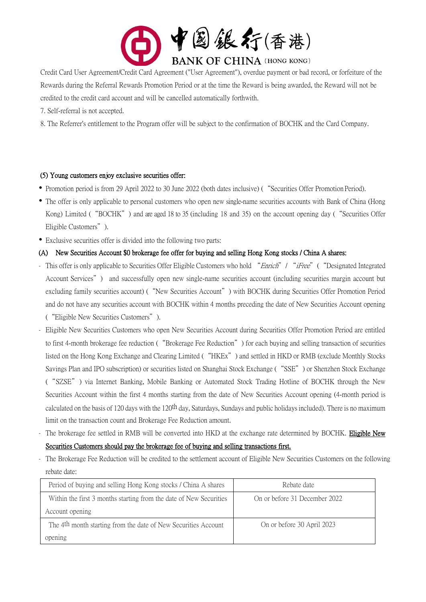

Credit Card User Agreement/Credit Card Agreement ("User Agreement"), overdue payment or bad record, or forfeiture of the Rewards during the Referral Rewards Promotion Period or at the time the Reward is being awarded, the Reward will not be credited to the credit card account and will be cancelled automatically forthwith.

7. Self-referral is not accepted.

8. The Referrer's entitlement to the Program offer will be subject to the confirmation of BOCHK and the Card Company.

# (5) Young customers enjoy exclusive securities offer:

- Promotion period is from 29 April 2022 to 30 June 2022 (both dates inclusive) ("Securities Offer Promotion Period).
- The offer is only applicable to personal customers who open new single-name securities accounts with Bank of China (Hong Kong) Limited ("BOCHK") and are aged 18 to 35 (including 18 and 35) on the account opening day ("Securities Offer Eligible Customers").
- Exclusive securities offer is divided into the following two parts:

### (A) New Securities Account \$0 brokerage fee offer for buying and selling Hong Kong stocks / China A shares:

- This offer is only applicable to Securities Offer Eligible Customers who hold "Enrich" / "iFree" ("Designated Integrated Account Services") and successfully open new single-name securities account (including securities margin account but excluding family securities account) ("New Securities Account") with BOCHK during Securities Offer Promotion Period and do not have any securities account with BOCHK within 4 months preceding the date of New Securities Account opening ("Eligible New Securities Customers").
- Eligible New Securities Customers who open New Securities Account during Securities Offer Promotion Period are entitled to first 4-month brokerage fee reduction ("Brokerage Fee Reduction") for each buying and selling transaction of securities listed on the Hong Kong Exchange and Clearing Limited ("HKEx") and settled in HKD or RMB (exclude Monthly Stocks Savings Plan and IPO subscription) or securities listed on Shanghai Stock Exchange ("SSE") or Shenzhen Stock Exchange ("SZSE") via Internet Banking, Mobile Banking or Automated Stock Trading Hotline of BOCHK through the New Securities Account within the first 4 months starting from the date of New Securities Account opening (4-month period is calculated on the basis of 120 days with the 120<sup>th</sup> day, Saturdays, Sundays and public holidays included). There is no maximum limit on the transaction count and Brokerage Fee Reduction amount.
- The brokerage fee settled in RMB will be converted into HKD at the exchange rate determined by BOCHK. Eligible New Securities Customers should pay the brokerage fee of buying and selling transactions first.
- The Brokerage Fee Reduction will be credited to the settlement account of Eligible New Securities Customers on the following rebate date:

| Period of buying and selling Hong Kong stocks / China A shares             | Rebate date                   |
|----------------------------------------------------------------------------|-------------------------------|
| Within the first 3 months starting from the date of New Securities         | On or before 31 December 2022 |
| Account opening                                                            |                               |
| The 4 <sup>th</sup> month starting from the date of New Securities Account | On or before 30 April 2023    |
| opening                                                                    |                               |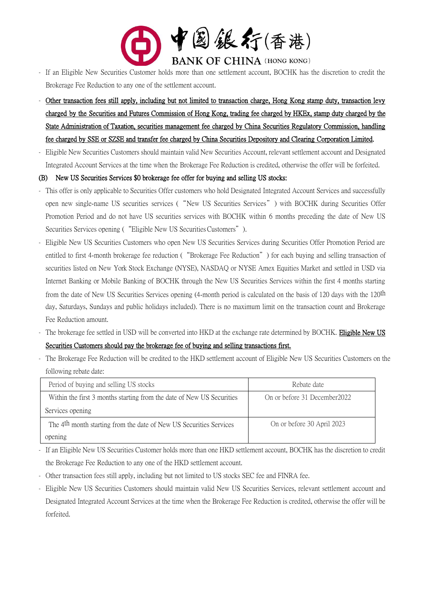

- If an Eligible New Securities Customer holds more than one settlement account, BOCHK has the discretion to credit the Brokerage Fee Reduction to any one of the settlement account.
- Other transaction fees still apply, including but not limited to transaction charge, Hong Kong stamp duty, transaction levy charged by the Securities and Futures Commission of Hong Kong, trading fee charged by HKEx, stamp duty charged by the State Administration of Taxation, securities management fee charged by China Securities Regulatory Commission, handling fee charged by SSE or SZSE and transfer fee charged by China Securities Depository and Clearing Corporation Limited.
- Eligible New Securities Customers should maintain valid New Securities Account, relevant settlement account and Designated Integrated Account Services at the time when the Brokerage Fee Reduction is credited, otherwise the offer will be forfeited.

### (B) New US Securities Services \$0 brokerage fee offer for buying and selling US stocks:

- This offer is only applicable to Securities Offer customers who hold Designated Integrated Account Services and successfully open new single-name US securities services ("New US Securities Services") with BOCHK during Securities Offer Promotion Period and do not have US securities services with BOCHK within 6 months preceding the date of New US Securities Services opening ( "Eligible New US Securities Customers").
- Eligible New US Securities Customers who open New US Securities Services during Securities Offer Promotion Period are entitled to first 4-month brokerage fee reduction ("Brokerage Fee Reduction") for each buying and selling transaction of securities listed on New York Stock Exchange (NYSE), NASDAQ or NYSE Amex Equities Market and settled in USD via Internet Banking or Mobile Banking of BOCHK through the New US Securities Services within the first 4 months starting from the date of New US Securities Services opening (4-month period is calculated on the basis of 120 days with the 120th day, Saturdays, Sundays and public holidays included). There is no maximum limit on the transaction count and Brokerage Fee Reduction amount.
- The brokerage fee settled in USD will be converted into HKD at the exchange rate determined by BOCHK. Eligible New US

# Securities Customers should pay the brokerage fee of buying and selling transactions first.

- The Brokerage Fee Reduction will be credited to the HKD settlement account of Eligible New US Securities Customers on the following rebate date:

| Period of buying and selling US stocks                                         | Rebate date                   |
|--------------------------------------------------------------------------------|-------------------------------|
| Within the first 3 months starting from the date of New US Securities          | On or before 31 December 2022 |
| Services opening                                                               |                               |
| The 4 <sup>th</sup> month starting from the date of New US Securities Services | On or before 30 April 2023    |
| opening                                                                        |                               |

- If an Eligible New US Securities Customer holds more than one HKD settlement account, BOCHK has the discretion to credit the Brokerage Fee Reduction to any one of the HKD settlement account.
- Other transaction fees still apply, including but not limited to US stocks SEC fee and FINRA fee.
- Eligible New US Securities Customers should maintain valid New US Securities Services, relevant settlement account and Designated Integrated Account Services at the time when the Brokerage Fee Reduction is credited, otherwise the offer will be forfeited.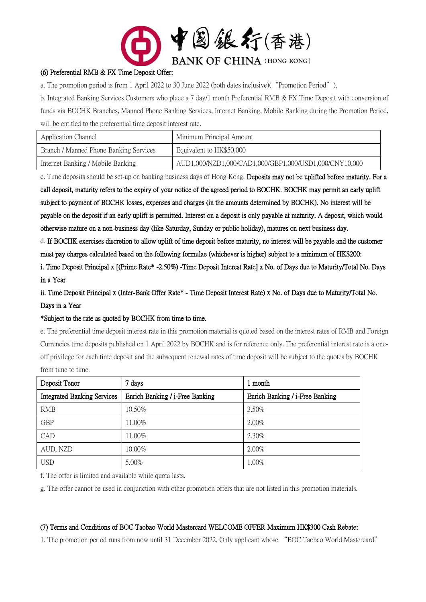

# (6) Preferential RMB & FX Time Deposit Offer:

a. The promotion period is from 1 April 2022 to 30 June 2022 (both dates inclusive)("Promotion Period").

b. Integrated Banking Services Customers who place a 7 day/1 month Preferential RMB & FX Time Deposit with conversion of funds via BOCHK Branches, Manned Phone Banking Services, Internet Banking, Mobile Banking during the Promotion Period, will be entitled to the preferential time deposit interest rate.

| Application Channel                    | Minimum Principal Amount                               |
|----------------------------------------|--------------------------------------------------------|
| Branch / Manned Phone Banking Services | Equivalent to HK\$50,000                               |
| Internet Banking / Mobile Banking      | AUD1,000/NZD1,000/CAD1,000/GBP1,000/USD1,000/CNY10,000 |

c. Time deposits should be set-up on banking business days of Hong Kong. Deposits may not be uplifted before maturity. For a

call deposit, maturity refers to the expiry of your notice of the agreed period to BOCHK. BOCHK may permit an early uplift subject to payment of BOCHK losses, expenses and charges (in the amounts determined by BOCHK). No interest will be payable on the deposit if an early uplift is permitted. Interest on a deposit is only payable at maturity. A deposit, which would otherwise mature on a non-business day (like Saturday, Sunday or public holiday), matures on next business day.

d. If BOCHK exercises discretion to allow uplift of time deposit before maturity, no interest will be payable and the customer must pay charges calculated based on the following formulae (whichever is higher) subject to a minimum of HK\$200:

i. Time Deposit Principal x [(Prime Rate\* -2.50%) -Time Deposit Interest Rate] x No. of Days due to Maturity/Total No. Days in a Year

ii. Time Deposit Principal x (Inter-Bank Offer Rate\* - Time Deposit Interest Rate) x No. of Days due to Maturity/Total No. Days in a Year

#### \*Subject to the rate as quoted by BOCHK from time to time.

e. The preferential time deposit interest rate in this promotion material is quoted based on the interest rates of RMB and Foreign Currencies time deposits published on 1 April 2022 by BOCHK and is for reference only. The preferential interest rate is a oneoff privilege for each time deposit and the subsequent renewal rates of time deposit will be subject to the quotes by BOCHK from time to time.

| Deposit Tenor                      | 7 days                          | 1 month                         |
|------------------------------------|---------------------------------|---------------------------------|
| <b>Integrated Banking Services</b> | Enrich Banking / i-Free Banking | Enrich Banking / i-Free Banking |
| <b>RMB</b>                         | 10.50%                          | 3.50%                           |
| <b>GBP</b>                         | 11.00%                          | $2.00\%$                        |
| CAD                                | 11.00%                          | 2.30%                           |
| AUD, NZD                           | $10.00\%$                       | $2.00\%$                        |
| <b>USD</b>                         | $5.00\%$                        | $1.00\%$                        |

f. The offer is limited and available while quota lasts.

g. The offer cannot be used in conjunction with other promotion offers that are not listed in this promotion materials.

#### (7) Terms and Conditions of BOC Taobao World Mastercard WELCOME OFFER Maximum HK\$300 Cash Rebate:

1. The promotion period runs from now until 31 December 2022. Only applicant whose "BOC Taobao World Mastercard"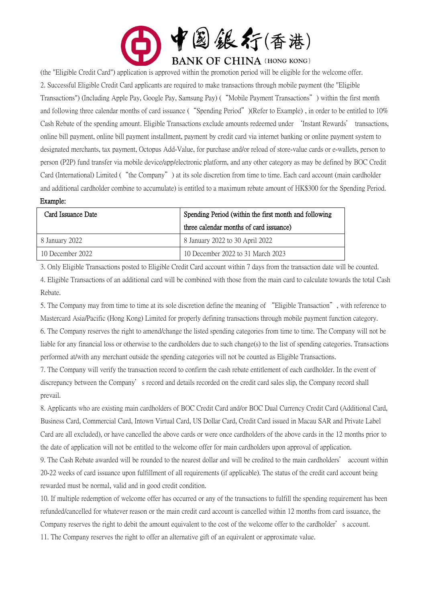

(the "Eligible Credit Card") application is approved within the promotion period will be eligible for the welcome offer. 2. Successful Eligible Credit Card applicants are required to make transactions through mobile payment (the "Eligible Transactions") (Including Apple Pay, Google Pay, Samsung Pay) ("Mobile Payment Transactions") within the first month and following three calendar months of card issuance ("Spending Period")(Refer to Example) , in order to be entitled to 10% Cash Rebate of the spending amount. Eligible Transactions exclude amounts redeemed under 'Instant Rewards' transactions, online bill payment, online bill payment installment, payment by credit card via internet banking or online payment system to designated merchants, tax payment, Octopus Add-Value, for purchase and/or reload of store-value cards or e-wallets, person to person (P2P) fund transfer via mobile device/app/electronic platform, and any other category as may be defined by BOC Credit Card (International) Limited ("the Company") at its sole discretion from time to time. Each card account (main cardholder and additional cardholder combine to accumulate) is entitled to a maximum rebate amount of HK\$300 for the Spending Period.

#### Example:

| Card Issuance Date | Spending Period (within the first month and following |  |
|--------------------|-------------------------------------------------------|--|
|                    | three calendar months of card issuance)               |  |
| 8 January 2022     | 8 January 2022 to 30 April 2022                       |  |
| 10 December 2022   | 10 December 2022 to 31 March 2023                     |  |

3. Only Eligible Transactions posted to Eligible Credit Card account within 7 days from the transaction date will be counted. 4. Eligible Transactions of an additional card will be combined with those from the main card to calculate towards the total Cash Rebate.

5. The Company may from time to time at its sole discretion define the meaning of "Eligible Transaction", with reference to Mastercard Asia/Pacific (Hong Kong) Limited for properly defining transactions through mobile payment function category. 6. The Company reserves the right to amend/change the listed spending categories from time to time. The Company will not be liable for any financial loss or otherwise to the cardholders due to such change(s) to the list of spending categories. Transactions performed at/with any merchant outside the spending categories will not be counted as Eligible Transactions.

7. The Company will verify the transaction record to confirm the cash rebate entitlement of each cardholder. In the event of discrepancy between the Company's record and details recorded on the credit card sales slip, the Company record shall prevail.

8. Applicants who are existing main cardholders of BOC Credit Card and/or BOC Dual Currency Credit Card (Additional Card, Business Card, Commercial Card, Intown Virtual Card, US Dollar Card, Credit Card issued in Macau SAR and Private Label Card are all excluded), or have cancelled the above cards or were once cardholders of the above cards in the 12 months prior to the date of application will not be entitled to the welcome offer for main cardholders upon approval of application.

9. The Cash Rebate awarded will be rounded to the nearest dollar and will be credited to the main cardholders' account within 20-22 weeks of card issuance upon fulfillment of all requirements (if applicable). The status of the credit card account being rewarded must be normal, valid and in good credit condition.

10. If multiple redemption of welcome offer has occurred or any of the transactions to fulfill the spending requirement has been refunded/cancelled for whatever reason or the main credit card account is cancelled within 12 months from card issuance, the Company reserves the right to debit the amount equivalent to the cost of the welcome offer to the cardholder's account.

11. The Company reserves the right to offer an alternative gift of an equivalent or approximate value.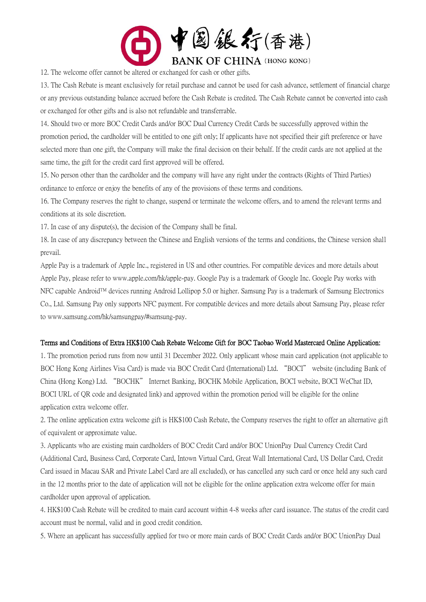

12. The welcome offer cannot be altered or exchanged for cash or other gifts.

13. The Cash Rebate is meant exclusively for retail purchase and cannot be used for cash advance, settlement of financial charge or any previous outstanding balance accrued before the Cash Rebate is credited. The Cash Rebate cannot be converted into cash or exchanged for other gifts and is also not refundable and transferrable.

14. Should two or more BOC Credit Cards and/or BOC Dual Currency Credit Cards be successfully approved within the promotion period, the cardholder will be entitled to one gift only; If applicants have not specified their gift preference or have selected more than one gift, the Company will make the final decision on their behalf. If the credit cards are not applied at the same time, the gift for the credit card first approved will be offered.

15. No person other than the cardholder and the company will have any right under the contracts (Rights of Third Parties) ordinance to enforce or enjoy the benefits of any of the provisions of these terms and conditions.

16. The Company reserves the right to change, suspend or terminate the welcome offers, and to amend the relevant terms and conditions at its sole discretion.

17. In case of any dispute(s), the decision of the Company shall be final.

18. In case of any discrepancy between the Chinese and English versions of the terms and conditions, the Chinese version shall prevail.

Apple Pay is a trademark of Apple Inc., registered in US and other countries. For compatible devices and more details about Apple Pay, please refer to www.apple.com/hk/apple-pay. Google Pay is a trademark of Google Inc. Google Pay works with NFC capable Android™ devices running Android Lollipop 5.0 or higher. Samsung Pay is a trademark of Samsung Electronics Co., Ltd. Samsung Pay only supports NFC payment. For compatible devices and more details about Samsung Pay, please refer to www.samsung.com/hk/samsungpay/#samsung-pay.

# Terms and Conditions of Extra HK\$100 Cash Rebate Welcome Gift for BOC Taobao World Mastercard Online Application:

1. The promotion period runs from now until 31 December 2022. Only applicant whose main card application (not applicable to BOC Hong Kong Airlines Visa Card) is made via BOC Credit Card (International) Ltd. "BOCI" website (including Bank of China (Hong Kong) Ltd. "BOCHK" Internet Banking, BOCHK Mobile Application, BOCI website, BOCI WeChat ID, BOCI URL of QR code and designated link) and approved within the promotion period will be eligible for the online application extra welcome offer.

2. The online application extra welcome gift is HK\$100 Cash Rebate, the Company reserves the right to offer an alternative gift of equivalent or approximate value.

3. Applicants who are existing main cardholders of BOC Credit Card and/or BOC UnionPay Dual Currency Credit Card (Additional Card, Business Card, Corporate Card, Intown Virtual Card, Great Wall International Card, US Dollar Card, Credit Card issued in Macau SAR and Private Label Card are all excluded), or has cancelled any such card or once held any such card in the 12 months prior to the date of application will not be eligible for the online application extra welcome offer for main cardholder upon approval of application.

4. HK\$100 Cash Rebate will be credited to main card account within 4-8 weeks after card issuance. The status of the credit card account must be normal, valid and in good credit condition.

5. Where an applicant has successfully applied for two or more main cards of BOC Credit Cards and/or BOC UnionPay Dual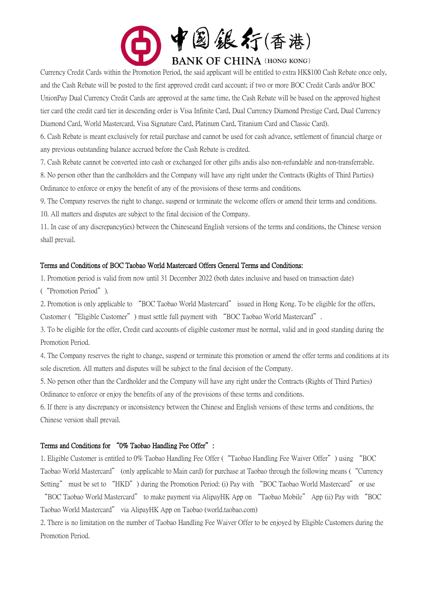

Currency Credit Cards within the Promotion Period, the said applicant will be entitled to extra HK\$100 Cash Rebate once only, and the Cash Rebate will be posted to the first approved credit card account; if two or more BOC Credit Cards and/or BOC UnionPay Dual Currency Credit Cards are approved at the same time, the Cash Rebate will be based on the approved highest tier card (the credit card tier in descending order is Visa Infinite Card, Dual Currency Diamond Prestige Card, Dual Currency Diamond Card, World Mastercard, Visa Signature Card, Platinum Card, Titanium Card and Classic Card).

6. Cash Rebate is meant exclusively for retail purchase and cannot be used for cash advance, settlement of financial charge or any previous outstanding balance accrued before the Cash Rebate is credited.

7. Cash Rebate cannot be converted into cash or exchanged for other gifts andis also non-refundable and non-transferrable.

8. No person other than the cardholders and the Company will have any right under the Contracts (Rights of Third Parties) Ordinance to enforce or enjoy the benefit of any of the provisions of these terms and conditions.

9. The Company reserves the right to change, suspend or terminate the welcome offers or amend their terms and conditions.

10. All matters and disputes are subject to the final decision of the Company.

11. In case of any discrepancy(ies) between the Chineseand English versions of the terms and conditions, the Chinese version shall prevail.

### Terms and Conditions of BOC Taobao World Mastercard Offers General Terms and Conditions:

1. Promotion period is valid from now until 31 December 2022 (both dates inclusive and based on transaction date)

("Promotion Period").

2. Promotion is only applicable to "BOC Taobao World Mastercard" issued in Hong Kong. To be eligible for the offers, Customer ("Eligible Customer") must settle full payment with "BOC Taobao World Mastercard".

3. To be eligible for the offer, Credit card accounts of eligible customer must be normal, valid and in good standing during the Promotion Period.

4. The Company reserves the right to change, suspend or terminate this promotion or amend the offer terms and conditions at its sole discretion. All matters and disputes will be subject to the final decision of the Company.

5. No person other than the Cardholder and the Company will have any right under the Contracts (Rights of Third Parties) Ordinance to enforce or enjoy the benefits of any of the provisions of these terms and conditions.

6. If there is any discrepancy or inconsistency between the Chinese and English versions of these terms and conditions, the Chinese version shall prevail.

# Terms and Conditions for "0% Taobao Handling Fee Offer":

1. Eligible Customer is entitled to 0% Taobao Handling Fee Offer ("Taobao Handling Fee Waiver Offer") using "BOC Taobao World Mastercard" (only applicable to Main card) for purchase at Taobao through the following means ("Currency Setting" must be set to "HKD") during the Promotion Period: (i) Pay with "BOC Taobao World Mastercard" or use

"BOC Taobao World Mastercard" to make payment via AlipayHK App on "Taobao Mobile" App (ii) Pay with "BOC Taobao World Mastercard" via AlipayHK App on Taobao (world.taobao.com)

2. There is no limitation on the number of Taobao Handling Fee Waiver Offer to be enjoyed by Eligible Customers during the Promotion Period.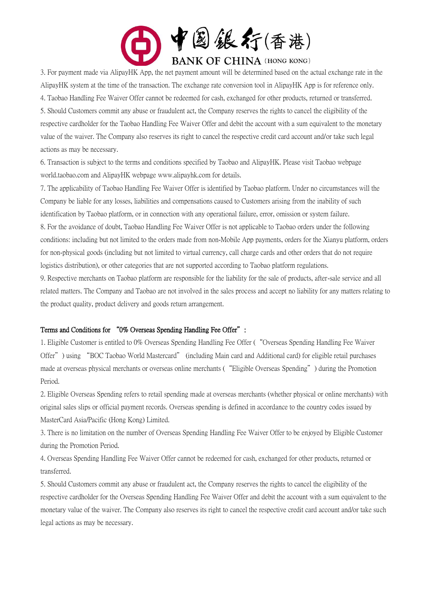

3. For payment made via AlipayHK App, the net payment amount will be determined based on the actual exchange rate in the AlipayHK system at the time of the transaction. The exchange rate conversion tool in AlipayHK App is for reference only. 4. Taobao Handling Fee Waiver Offer cannot be redeemed for cash, exchanged for other products, returned or transferred. 5. Should Customers commit any abuse or fraudulent act, the Company reserves the rights to cancel the eligibility of the respective cardholder for the Taobao Handling Fee Waiver Offer and debit the account with a sum equivalent to the monetary value of the waiver. The Company also reserves its right to cancel the respective credit card account and/or take such legal actions as may be necessary.

6. Transaction is subject to the terms and conditions specified by Taobao and AlipayHK. Please visit Taobao webpage world.taobao.com and AlipayHK webpage www.alipayhk.com for details.

7. The applicability of Taobao Handling Fee Waiver Offer is identified by Taobao platform. Under no circumstances will the Company be liable for any losses, liabilities and compensations caused to Customers arising from the inability of such identification by Taobao platform, or in connection with any operational failure, error, omission or system failure. 8. For the avoidance of doubt, Taobao Handling Fee Waiver Offer is not applicable to Taobao orders under the following conditions: including but not limited to the orders made from non-Mobile App payments, orders for the Xianyu platform, orders for non-physical goods (including but not limited to virtual currency, call charge cards and other orders that do not require logistics distribution), or other categories that are not supported according to Taobao platform regulations.

9. Respective merchants on Taobao platform are responsible for the liability for the sale of products, after-sale service and all related matters. The Company and Taobao are not involved in the sales process and accept no liability for any matters relating to the product quality, product delivery and goods return arrangement.

#### Terms and Conditions for "0% Overseas Spending Handling Fee Offer":

1. Eligible Customer is entitled to 0% Overseas Spending Handling Fee Offer ("Overseas Spending Handling Fee Waiver Offer") using "BOC Taobao World Mastercard" (including Main card and Additional card) for eligible retail purchases made at overseas physical merchants or overseas online merchants ("Eligible Overseas Spending") during the Promotion Period.

2. Eligible Overseas Spending refers to retail spending made at overseas merchants (whether physical or online merchants) with original sales slips or official payment records. Overseas spending is defined in accordance to the country codes issued by MasterCard Asia/Pacific (Hong Kong) Limited.

3. There is no limitation on the number of Overseas Spending Handling Fee Waiver Offer to be enjoyed by Eligible Customer during the Promotion Period.

4. Overseas Spending Handling Fee Waiver Offer cannot be redeemed for cash, exchanged for other products, returned or transferred.

5. Should Customers commit any abuse or fraudulent act, the Company reserves the rights to cancel the eligibility of the respective cardholder for the Overseas Spending Handling Fee Waiver Offer and debit the account with a sum equivalent to the monetary value of the waiver. The Company also reserves its right to cancel the respective credit card account and/or take such legal actions as may be necessary.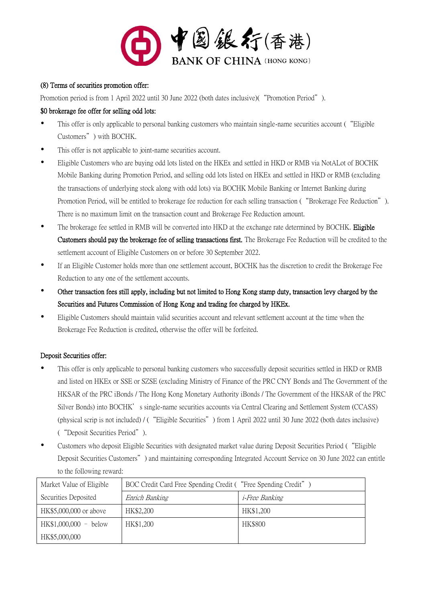

### (8) Terms of securities promotion offer:

Promotion period is from 1 April 2022 until 30 June 2022 (both dates inclusive)("Promotion Period").

### \$0 brokerage fee offer for selling odd lots:

- This offer is only applicable to personal banking customers who maintain single-name securities account ("Eligible Customers") with BOCHK.
- This offer is not applicable to joint-name securities account.
- Eligible Customers who are buying odd lots listed on the HKEx and settled in HKD or RMB via NotALot of BOCHK Mobile Banking during Promotion Period, and selling odd lots listed on HKEx and settled in HKD or RMB (excluding the transactions of underlying stock along with odd lots) via BOCHK Mobile Banking or Internet Banking during Promotion Period, will be entitled to brokerage fee reduction for each selling transaction ("Brokerage Fee Reduction"). There is no maximum limit on the transaction count and Brokerage Fee Reduction amount.
- The brokerage fee settled in RMB will be converted into HKD at the exchange rate determined by BOCHK. Eligible Customers should pay the brokerage fee of selling transactions first. The Brokerage Fee Reduction will be credited to the settlement account of Eligible Customers on or before 30 September 2022.
- If an Eligible Customer holds more than one settlement account, BOCHK has the discretion to credit the Brokerage Fee Reduction to any one of the settlement accounts.
- Other transaction fees still apply, including but not limited to Hong Kong stamp duty, transaction levy charged by the Securities and Futures Commission of Hong Kong and trading fee charged by HKEx.
- Eligible Customers should maintain valid securities account and relevant settlement account at the time when the Brokerage Fee Reduction is credited, otherwise the offer will be forfeited.

# Deposit Securities offer:

- This offer is only applicable to personal banking customers who successfully deposit securities settled in HKD or RMB and listed on HKEx or SSE or SZSE (excluding Ministry of Finance of the PRC CNY Bonds and The Government of the HKSAR of the PRC iBonds / The Hong Kong Monetary Authority iBonds / The Government of the HKSAR of the PRC Silver Bonds) into BOCHK's single-name securities accounts via Central Clearing and Settlement System (CCASS) (physical scrip is not included) / ("Eligible Securities") from 1 April 2022 until 30 June 2022 (both dates inclusive) ("Deposit Securities Period").
- Customers who deposit Eligible Securities with designated market value during Deposit Securities Period ("Eligible Deposit Securities Customers") and maintaining corresponding Integrated Account Service on 30 June 2022 can entitle to the following reward:

| Market Value of Eligible | BOC Credit Card Free Spending Credit ( "Free Spending Credit" ) |                       |
|--------------------------|-----------------------------------------------------------------|-----------------------|
| Securities Deposited     | Enrich Banking                                                  | <i>i-Free Banking</i> |
| HK\$5,000,000 or above   | HK\$2,200                                                       | HK\$1,200             |
| $HK$1,000,000 - below$   | HK\$1,200                                                       | <b>HK\$800</b>        |
| HK\$5,000,000            |                                                                 |                       |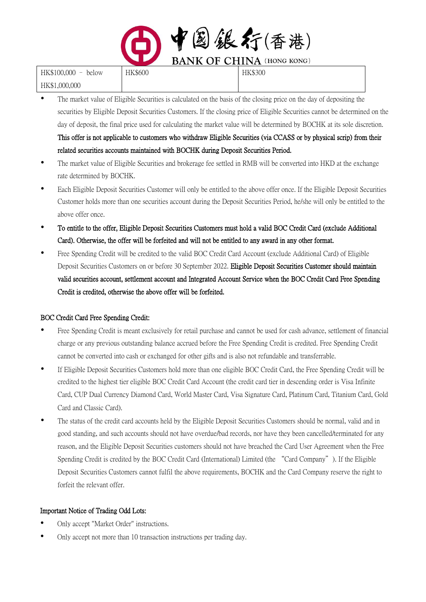

| HK\$100,000 - below | <b>HK\$600</b> | <b>HK\$300</b> |
|---------------------|----------------|----------------|
| HK\$1,000,000       |                |                |

- The market value of Eligible Securities is calculated on the basis of the closing price on the day of depositing the securities by Eligible Deposit Securities Customers. If the closing price of Eligible Securities cannot be determined on the day of deposit, the final price used for calculating the market value will be determined by BOCHK at its sole discretion. This offer is not applicable to customers who withdraw Eligible Securities (via CCASS or by physical scrip) from their related securities accounts maintained with BOCHK during Deposit Securities Period.
- The market value of Eligible Securities and brokerage fee settled in RMB will be converted into HKD at the exchange rate determined by BOCHK.
- Each Eligible Deposit Securities Customer will only be entitled to the above offer once. If the Eligible Deposit Securities Customer holds more than one securities account during the Deposit Securities Period, he/she will only be entitled to the above offer once.
- To entitle to the offer, Eligible Deposit Securities Customers must hold a valid BOC Credit Card (exclude Additional Card). Otherwise, the offer will be forfeited and will not be entitled to any award in any other format.
- Free Spending Credit will be credited to the valid BOC Credit Card Account (exclude Additional Card) of Eligible Deposit Securities Customers on or before 30 September 2022. Eligible Deposit Securities Customer should maintain valid securities account, settlement account and Integrated Account Service when the BOC Credit Card Free Spending Credit is credited, otherwise the above offer will be forfeited.

# BOC Credit Card Free Spending Credit:

- Free Spending Credit is meant exclusively for retail purchase and cannot be used for cash advance, settlement of financial charge or any previous outstanding balance accrued before the Free Spending Credit is credited. Free Spending Credit cannot be converted into cash or exchanged for other gifts and is also not refundable and transferrable.
- If Eligible Deposit Securities Customers hold more than one eligible BOC Credit Card, the Free Spending Credit will be credited to the highest tier eligible BOC Credit Card Account (the credit card tier in descending order is Visa Infinite Card, CUP Dual Currency Diamond Card, World Master Card, Visa Signature Card, Platinum Card, Titanium Card, Gold Card and Classic Card).
- The status of the credit card accounts held by the Eligible Deposit Securities Customers should be normal, valid and in good standing, and such accounts should not have overdue/bad records, nor have they been cancelled/terminated for any reason, and the Eligible Deposit Securities customers should not have breached the Card User Agreement when the Free Spending Credit is credited by the BOC Credit Card (International) Limited (the "Card Company"). If the Eligible Deposit Securities Customers cannot fulfil the above requirements, BOCHK and the Card Company reserve the right to forfeit the relevant offer.

# Important Notice of Trading Odd Lots:

- Only accept "Market Order" instructions.
- Only accept not more than 10 transaction instructions per trading day.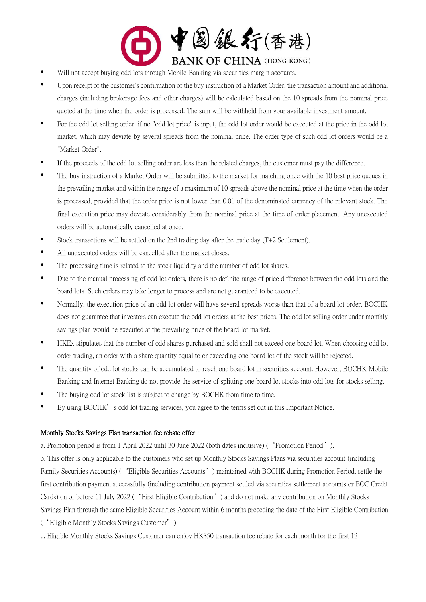

- Will not accept buying odd lots through Mobile Banking via securities margin accounts.
- Upon receipt of the customer's confirmation of the buy instruction of a Market Order, the transaction amount and additional charges (including brokerage fees and other charges) will be calculated based on the 10 spreads from the nominal price quoted at the time when the order is processed. The sum will be withheld from your available investment amount.
- For the odd lot selling order, if no "odd lot price" is input, the odd lot order would be executed at the price in the odd lot market, which may deviate by several spreads from the nominal price. The order type of such odd lot orders would be a "Market Order".
- If the proceeds of the odd lot selling order are less than the related charges, the customer must pay the difference.
- The buy instruction of a Market Order will be submitted to the market for matching once with the 10 best price queues in the prevailing market and within the range of a maximum of 10 spreads above the nominal price at the time when the order is processed, provided that the order price is not lower than 0.01 of the denominated currency of the relevant stock. The final execution price may deviate considerably from the nominal price at the time of order placement. Any unexecuted orders will be automatically cancelled at once.
- Stock transactions will be settled on the 2nd trading day after the trade day (T+2 Settlement).
- All unexecuted orders will be cancelled after the market closes.
- The processing time is related to the stock liquidity and the number of odd lot shares.
- Due to the manual processing of odd lot orders, there is no definite range of price difference between the odd lots and the board lots. Such orders may take longer to process and are not guaranteed to be executed.
- Normally, the execution price of an odd lot order will have several spreads worse than that of a board lot order. BOCHK does not guarantee that investors can execute the odd lot orders at the best prices. The odd lot selling order under monthly savings plan would be executed at the prevailing price of the board lot market.
- HKEx stipulates that the number of odd shares purchased and sold shall not exceed one board lot. When choosing odd lot order trading, an order with a share quantity equal to or exceeding one board lot of the stock will be rejected.
- The quantity of odd lot stocks can be accumulated to reach one board lot in securities account. However, BOCHK Mobile Banking and Internet Banking do not provide the service of splitting one board lot stocks into odd lots for stocks selling.
- The buying odd lot stock list is subject to change by BOCHK from time to time.
- By using BOCHK's odd lot trading services, you agree to the terms set out in this Important Notice.

#### Monthly Stocks Savings Plan transaction fee rebate offer :

a. Promotion period is from 1 April 2022 until 30 June 2022 (both dates inclusive) ("Promotion Period").

b. This offer is only applicable to the customers who set up Monthly Stocks Savings Plans via securities account (including Family Securities Accounts) ("Eligible Securities Accounts") maintained with BOCHK during Promotion Period, settle the first contribution payment successfully (including contribution payment settled via securities settlement accounts or BOC Credit Cards) on or before 11 July 2022 ("First Eligible Contribution") and do not make any contribution on Monthly Stocks Savings Plan through the same Eligible Securities Account within 6 months preceding the date of the First Eligible Contribution ("Eligible Monthly Stocks Savings Customer")

c. Eligible Monthly Stocks Savings Customer can enjoy HK\$50 transaction fee rebate for each month for the first 12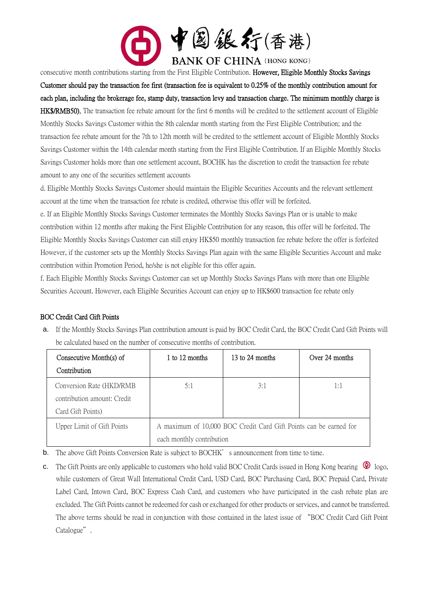

consecutive month contributions starting from the First Eligible Contribution. However, Eligible Monthly Stocks Savings Customer should pay the transaction fee first (transaction fee is equivalent to 0.25% of the monthly contribution amount for each plan, including the brokerage fee, stamp duty, transaction levy and transaction charge. The minimum monthly charge is HK\$/RMB50). The transaction fee rebate amount for the first 6 months will be credited to the settlement account of Eligible Monthly Stocks Savings Customer within the 8th calendar month starting from the First Eligible Contribution; and the transaction fee rebate amount for the 7th to 12th month will be credited to the settlement account of Eligible Monthly Stocks Savings Customer within the 14th calendar month starting from the First Eligible Contribution. If an Eligible Monthly Stocks Savings Customer holds more than one settlement account, BOCHK has the discretion to credit the transaction fee rebate amount to any one of the securities settlement accounts

d. Eligible Monthly Stocks Savings Customer should maintain the Eligible Securities Accounts and the relevant settlement account at the time when the transaction fee rebate is credited, otherwise this offer will be forfeited.

e. If an Eligible Monthly Stocks Savings Customer terminates the Monthly Stocks Savings Plan or is unable to make contribution within 12 months after making the First Eligible Contribution for any reason, this offer will be forfeited. The Eligible Monthly Stocks Savings Customer can still enjoy HK\$50 monthly transaction fee rebate before the offer is forfeited However, if the customer sets up the Monthly Stocks Savings Plan again with the same Eligible Securities Account and make contribution within Promotion Period, he/she is not eligible for this offer again.

f. Each Eligible Monthly Stocks Savings Customer can set up Monthly Stocks Savings Plans with more than one Eligible Securities Account. However, each Eligible Securities Account can enjoy up to HK\$600 transaction fee rebate only

# BOC Credit Card Gift Points

a. If the Monthly Stocks Savings Plan contribution amount is paid by BOC Credit Card, the BOC Credit Card Gift Points will be calculated based on the number of consecutive months of contribution.

| Consecutive Month(s) of     | 1 to 12 months                                                    | 13 to 24 months | Over 24 months |
|-----------------------------|-------------------------------------------------------------------|-----------------|----------------|
| Contribution                |                                                                   |                 |                |
| Conversion Rate (HKD/RMB)   | 5:1                                                               | 3:1             | 1:1            |
| contribution amount: Credit |                                                                   |                 |                |
| Card Gift Points)           |                                                                   |                 |                |
| Upper Limit of Gift Points  | A maximum of 10,000 BOC Credit Card Gift Points can be earned for |                 |                |
|                             | each monthly contribution                                         |                 |                |

**b.** The above Gift Points Conversion Rate is subject to BOCHK's announcement from time to time.

c. The Gift Points are only applicable to customers who hold valid BOC Credit Cards issued in Hong Kong bearing  $\bigcirc$  logo, while customers of Great Wall International Credit Card, USD Card, BOC Purchasing Card, BOC Prepaid Card, Private Label Card, Intown Card, BOC Express Cash Card, and customers who have participated in the cash rebate plan are excluded. The Gift Points cannot be redeemed for cash or exchanged for other products or services, and cannot be transferred. The above terms should be read in conjunction with those contained in the latest issue of "BOC Credit Card Gift Point Catalogue".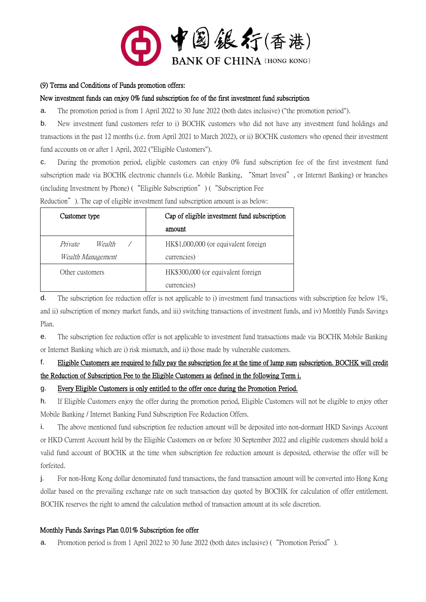

#### (9) Terms and Conditions of Funds promotion offers:

### New investment funds can enjoy 0% fund subscription fee of the first investment fund subscription

a. The promotion period is from 1 April 2022 to 30 June 2022 (both dates inclusive) ("the promotion period").

b. New investment fund customers refer to i) BOCHK customers who did not have any investment fund holdings and transactions in the past 12 months (i.e. from April 2021 to March 2022), or ii) BOCHK customers who opened their investment fund accounts on or after 1 April, 2022 ("Eligible Customers").

c. During the promotion period, eligible customers can enjoy 0% fund subscription fee of the first investment fund subscription made via BOCHK electronic channels (i.e. Mobile Banking, "Smart Invest", or Internet Banking) or branches (including Investment by Phone) ("Eligible Subscription") ("Subscription Fee

Reduction"). The cap of eligible investment fund subscription amount is as below:

| Customer type                          | Cap of eligible investment fund subscription<br>amount |  |
|----------------------------------------|--------------------------------------------------------|--|
| Private<br>Wealth<br>Wealth Management | HK\$1,000,000 (or equivalent foreign<br>currencies)    |  |
| Other customers                        | HK\$300,000 (or equivalent foreign<br>currencies)      |  |

d. The subscription fee reduction offer is not applicable to i) investment fund transactions with subscription fee below 1%, and ii) subscription of money market funds, and iii) switching transactions of investment funds, and iv) Monthly Funds Savings Plan.

e. The subscription fee reduction offer is not applicable to investment fund transactions made via BOCHK Mobile Banking or Internet Banking which are i) risk mismatch, and ii) those made by vulnerable customers.

# f. Eligible Customers are required to fully pay the subscription fee at the time of lump sum subscription. BOCHK will credit the Reduction of Subscription Fee to the Eligible Customers as defined in the following Term i.

# g. Every Eligible Customers is only entitled to the offer once during the Promotion Period.

h. If Eligible Customers enjoy the offer during the promotion period, Eligible Customers will not be eligible to enjoy other Mobile Banking / Internet Banking Fund Subscription Fee Reduction Offers.

i. The above mentioned fund subscription fee reduction amount will be deposited into non-dormant HKD Savings Account or HKD Current Account held by the Eligible Customers on or before 30 September 2022 and eligible customers should hold a valid fund account of BOCHK at the time when subscription fee reduction amount is deposited, otherwise the offer will be forfeited.

j. For non-Hong Kong dollar denominated fund transactions, the fund transaction amount will be converted into Hong Kong dollar based on the prevailing exchange rate on such transaction day quoted by BOCHK for calculation of offer entitlement. BOCHK reserves the right to amend the calculation method of transaction amount at its sole discretion.

# Monthly Funds Savings Plan 0.01% Subscription fee offer

a. Promotion period is from 1 April 2022 to 30 June 2022 (both dates inclusive) ("Promotion Period").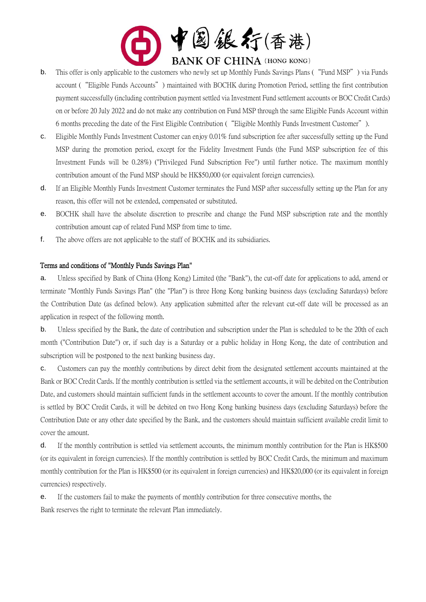

- b. This offer is only applicable to the customers who newly set up Monthly Funds Savings Plans ("Fund MSP") via Funds account ("Eligible Funds Accounts") maintained with BOCHK during Promotion Period, settling the first contribution payment successfully (including contribution payment settled via Investment Fund settlement accounts or BOC Credit Cards) on or before 20 July 2022 and do not make any contribution on Fund MSP through the same Eligible Funds Account within 6 months preceding the date of the First Eligible Contribution ("Eligible Monthly Funds Investment Customer").
- c. Eligible Monthly Funds Investment Customer can enjoy 0.01% fund subscription fee after successfully setting up the Fund MSP during the promotion period, except for the Fidelity Investment Funds (the Fund MSP subscription fee of this Investment Funds will be 0.28%) ("Privileged Fund Subscription Fee") until further notice. The maximum monthly contribution amount of the Fund MSP should be HK\$50,000 (or equivalent foreign currencies).
- d. If an Eligible Monthly Funds Investment Customer terminates the Fund MSP after successfully setting up the Plan for any reason, this offer will not be extended, compensated or substituted.
- e. BOCHK shall have the absolute discretion to prescribe and change the Fund MSP subscription rate and the monthly contribution amount cap of related Fund MSP from time to time.
- f. The above offers are not applicable to the staff of BOCHK and its subsidiaries.

#### Terms and conditions of "Monthly Funds Savings Plan"

a. Unless specified by Bank of China (Hong Kong) Limited (the "Bank"), the cut-off date for applications to add, amend or terminate "Monthly Funds Savings Plan" (the "Plan") is three Hong Kong banking business days (excluding Saturdays) before the Contribution Date (as defined below). Any application submitted after the relevant cut-off date will be processed as an application in respect of the following month.

b. Unless specified by the Bank, the date of contribution and subscription under the Plan is scheduled to be the 20th of each month ("Contribution Date") or, if such day is a Saturday or a public holiday in Hong Kong, the date of contribution and subscription will be postponed to the next banking business day.

c. Customers can pay the monthly contributions by direct debit from the designated settlement accounts maintained at the Bank or BOC Credit Cards. If the monthly contribution is settled via the settlement accounts, it will be debited on the Contribution Date, and customers should maintain sufficient funds in the settlement accounts to cover the amount. If the monthly contribution is settled by BOC Credit Cards, it will be debited on two Hong Kong banking business days (excluding Saturdays) before the Contribution Date or any other date specified by the Bank, and the customers should maintain sufficient available credit limit to cover the amount.

d. If the monthly contribution is settled via settlement accounts, the minimum monthly contribution for the Plan is HK\$500 (or its equivalent in foreign currencies). If the monthly contribution is settled by BOC Credit Cards, the minimum and maximum monthly contribution for the Plan is HK\$500 (or its equivalent in foreign currencies) and HK\$20,000 (or its equivalent in foreign currencies) respectively.

e. If the customers fail to make the payments of monthly contribution for three consecutive months, the Bank reserves the right to terminate the relevant Plan immediately.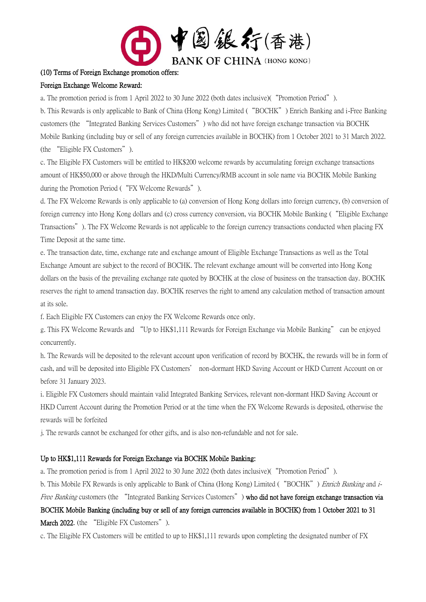

#### (10) Terms of Foreign Exchange promotion offers:

#### Foreign Exchange Welcome Reward:

a. The promotion period is from 1 April 2022 to 30 June 2022 (both dates inclusive)("Promotion Period").

b. This Rewards is only applicable to Bank of China (Hong Kong) Limited ("BOCHK") Enrich Banking and i-Free Banking customers (the "Integrated Banking Services Customers") who did not have foreign exchange transaction via BOCHK Mobile Banking (including buy or sell of any foreign currencies available in BOCHK) from 1 October 2021 to 31 March 2022. (the "Eligible FX Customers").

c. The Eligible FX Customers will be entitled to HK\$200 welcome rewards by accumulating foreign exchange transactions amount of HK\$50,000 or above through the HKD/Multi Currency/RMB account in sole name via BOCHK Mobile Banking during the Promotion Period ("FX Welcome Rewards").

d. The FX Welcome Rewards is only applicable to (a) conversion of Hong Kong dollars into foreign currency, (b) conversion of foreign currency into Hong Kong dollars and (c) cross currency conversion, via BOCHK Mobile Banking ("Eligible Exchange Transactions"). The FX Welcome Rewards is not applicable to the foreign currency transactions conducted when placing FX Time Deposit at the same time.

e. The transaction date, time, exchange rate and exchange amount of Eligible Exchange Transactions as well as the Total Exchange Amount are subject to the record of BOCHK. The relevant exchange amount will be converted into Hong Kong dollars on the basis of the prevailing exchange rate quoted by BOCHK at the close of business on the transaction day. BOCHK reserves the right to amend transaction day. BOCHK reserves the right to amend any calculation method of transaction amount at its sole.

f. Each Eligible FX Customers can enjoy the FX Welcome Rewards once only.

g. This FX Welcome Rewards and "Up to HK\$1,111 Rewards for Foreign Exchange via Mobile Banking" can be enjoyed concurrently.

h. The Rewards will be deposited to the relevant account upon verification of record by BOCHK, the rewards will be in form of cash, and will be deposited into Eligible FX Customers' non-dormant HKD Saving Account or HKD Current Account on or before 31 January 2023.

i. Eligible FX Customers should maintain valid Integrated Banking Services, relevant non-dormant HKD Saving Account or HKD Current Account during the Promotion Period or at the time when the FX Welcome Rewards is deposited, otherwise the rewards will be forfeited

j. The rewards cannot be exchanged for other gifts, and is also non-refundable and not for sale.

#### Up to HK\$1,111 Rewards for Foreign Exchange via BOCHK Mobile Banking:

a. The promotion period is from 1 April 2022 to 30 June 2022 (both dates inclusive)("Promotion Period").

b. This Mobile FX Rewards is only applicable to Bank of China (Hong Kong) Limited ("BOCHK") *Enrich Banking* and *i*-

Free Banking customers (the "Integrated Banking Services Customers") who did not have foreign exchange transaction via BOCHK Mobile Banking (including buy or sell of any foreign currencies available in BOCHK) from 1 October 2021 to 31 March 2022. (the "Eligible FX Customers").

c. The Eligible FX Customers will be entitled to up to HK\$1,111 rewards upon completing the designated number of FX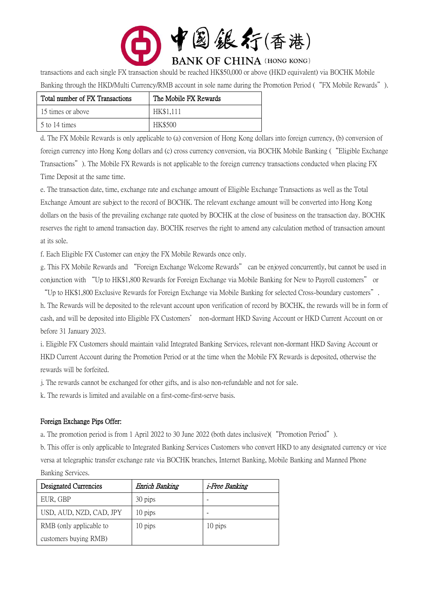

transactions and each single FX transaction should be reached HK\$50,000 or above (HKD equivalent) via BOCHK Mobile Banking through the HKD/Multi Currency/RMB account in sole name during the Promotion Period ("FX Mobile Rewards").

| Total number of FX Transactions | The Mobile FX Rewards |
|---------------------------------|-----------------------|
| 15 times or above               | HK\$1,111             |
| 5 to 14 times                   | <b>HK\$500</b>        |

d. The FX Mobile Rewards is only applicable to (a) conversion of Hong Kong dollars into foreign currency, (b) conversion of foreign currency into Hong Kong dollars and (c) cross currency conversion, via BOCHK Mobile Banking ("Eligible Exchange Transactions"). The Mobile FX Rewards is not applicable to the foreign currency transactions conducted when placing FX Time Deposit at the same time.

e. The transaction date, time, exchange rate and exchange amount of Eligible Exchange Transactions as well as the Total Exchange Amount are subject to the record of BOCHK. The relevant exchange amount will be converted into Hong Kong dollars on the basis of the prevailing exchange rate quoted by BOCHK at the close of business on the transaction day. BOCHK reserves the right to amend transaction day. BOCHK reserves the right to amend any calculation method of transaction amount at its sole.

f. Each Eligible FX Customer can enjoy the FX Mobile Rewards once only.

g. This FX Mobile Rewards and "Foreign Exchange Welcome Rewards" can be enjoyed concurrently, but cannot be used in conjunction with "Up to HK\$1,800 Rewards for Foreign Exchange via Mobile Banking for New to Payroll customers" or

"Up to HK\$1,800 Exclusive Rewards for Foreign Exchange via Mobile Banking for selected Cross-boundary customers". h. The Rewards will be deposited to the relevant account upon verification of record by BOCHK, the rewards will be in form of cash, and will be deposited into Eligible FX Customers' non-dormant HKD Saving Account or HKD Current Account on or before 31 January 2023.

i. Eligible FX Customers should maintain valid Integrated Banking Services, relevant non-dormant HKD Saving Account or HKD Current Account during the Promotion Period or at the time when the Mobile FX Rewards is deposited, otherwise the rewards will be forfeited.

j. The rewards cannot be exchanged for other gifts, and is also non-refundable and not for sale.

k. The rewards is limited and available on a first-come-first-serve basis.

# Foreign Exchange Pips Offer:

a. The promotion period is from 1 April 2022 to 30 June 2022 (both dates inclusive)("Promotion Period").

b. This offer is only applicable to Integrated Banking Services Customers who convert HKD to any designated currency or vice versa at telegraphic transfer exchange rate via BOCHK branches, Internet Banking, Mobile Banking and Manned Phone Banking Services.

| Designated Currencies   | Enrich Banking | <i>i-Free Banking</i> |
|-------------------------|----------------|-----------------------|
| EUR, GBP                | 30 pips        |                       |
| USD, AUD, NZD, CAD, JPY | 10 pips        |                       |
| RMB (only applicable to | 10 pips        | 10 pips               |
| customers buying RMB)   |                |                       |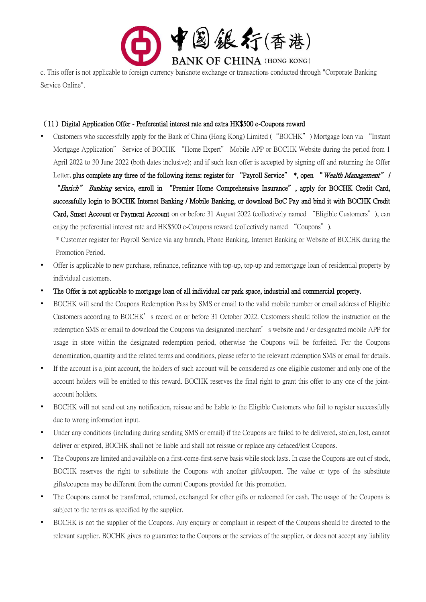

c. This offer is not applicable to foreign currency banknote exchange or transactions conducted through "Corporate Banking Service Online".

### (11)Digital Application Offer - Preferential interest rate and extra HK\$500 e-Coupons reward

 Customers who successfully apply for the Bank of China (Hong Kong) Limited ("BOCHK") Mortgage loan via "Instant Mortgage Application" Service of BOCHK "Home Expert" Mobile APP or BOCHK Website during the period from 1 April 2022 to 30 June 2022 (both dates inclusive); and if such loan offer is accepted by signing off and returning the Offer Letter, plus complete any three of the following items: register for "Payroll Service" \*, open "Wealth Management" / "Enrich" Banking service, enroll in "Premier Home Comprehensive Insurance", apply for BOCHK Credit Card, successfully login to BOCHK Internet Banking / Mobile Banking, or download BoC Pay and bind it with BOCHK Credit Card, Smart Account or Payment Account on or before 31 August 2022 (collectively named "Eligible Customers"), can enjoy the preferential interest rate and HK\$500 e-Coupons reward (collectively named "Coupons").

\* Customer register for Payroll Service via any branch, Phone Banking, Internet Banking or Website of BOCHK during the Promotion Period.

- Offer is applicable to new purchase, refinance, refinance with top-up, top-up and remortgage loan of residential property by individual customers.
- The Offer is not applicable to mortgage loan of all individual car park space, industrial and commercial property.
- BOCHK will send the Coupons Redemption Pass by SMS or email to the valid mobile number or email address of Eligible Customers according to BOCHK's record on or before 31 October 2022. Customers should follow the instruction on the redemption SMS or email to download the Coupons via designated merchant's website and / or designated mobile APP for usage in store within the designated redemption period, otherwise the Coupons will be forfeited. For the Coupons denomination, quantity and the related terms and conditions, please refer to the relevant redemption SMS or email for details.
- If the account is a joint account, the holders of such account will be considered as one eligible customer and only one of the account holders will be entitled to this reward. BOCHK reserves the final right to grant this offer to any one of the jointaccount holders.
- BOCHK will not send out any notification, reissue and be liable to the Eligible Customers who fail to register successfully due to wrong information input.
- Under any conditions (including during sending SMS or email) if the Coupons are failed to be delivered, stolen, lost, cannot deliver or expired, BOCHK shall not be liable and shall not reissue or replace any defaced/lost Coupons.
- The Coupons are limited and available on a first-come-first-serve basis while stock lasts. In case the Coupons are out of stock, BOCHK reserves the right to substitute the Coupons with another gift/coupon. The value or type of the substitute gifts/coupons may be different from the current Coupons provided for this promotion.
- The Coupons cannot be transferred, returned, exchanged for other gifts or redeemed for cash. The usage of the Coupons is subject to the terms as specified by the supplier.
- BOCHK is not the supplier of the Coupons. Any enquiry or complaint in respect of the Coupons should be directed to the relevant supplier. BOCHK gives no guarantee to the Coupons or the services of the supplier, or does not accept any liability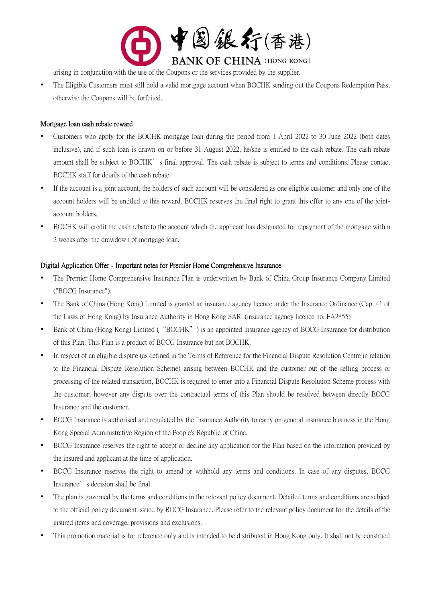

arising in conjunction with the use of the Coupons or the services provided by the supplier.

 The Eligible Customers must still hold a valid mortgage account when BOCHK sending out the Coupons Redemption Pass, otherwise the Coupons will be forfeited.

#### Mortgage loan cash rebate reward

- Customers who apply for the BOCHK mortgage loan during the period from 1 April 2022 to 30 June 2022 (both dates inclusive), and if such loan is drawn on or before 31 August 2022, he/she is entitled to the cash rebate. The cash rebate amount shall be subject to BOCHK's final approval. The cash rebate is subject to terms and conditions. Please contact BOCHK staff for details of the cash rebate.
- If the account is a joint account, the holders of such account will be considered as one eligible customer and only one of the account holders will be entitled to this reward. BOCHK reserves the final right to grant this offer to any one of the jointaccount holders.
- BOCHK will credit the cash rebate to the account which the applicant has designated for repayment of the mortgage within 2 weeks after the drawdown of mortgage loan.

#### Digital Application Offer - Important notes for Premier Home Comprehensive Insurance

- The Premier Home Comprehensive Insurance Plan is underwritten by Bank of China Group Insurance Company Limited ("BOCG Insurance").
- The Bank of China (Hong Kong) Limited is granted an insurance agency licence under the Insurance Ordinance (Cap. 41 of the Laws of Hong Kong) by Insurance Authority in Hong Kong SAR. (insurance agency licence no. FA2855)
- Bank of China (Hong Kong) Limited ("BOCHK") is an appointed insurance agency of BOCG Insurance for distribution of this Plan. This Plan is a product of BOCG Insurance but not BOCHK.
- In respect of an eligible dispute (as defined in the Terms of Reference for the Financial Dispute Resolution Centre in relation to the Financial Dispute Resolution Scheme) arising between BOCHK and the customer out of the selling process or processing of the related transaction, BOCHK is required to enter into a Financial Dispute Resolution Scheme process with the customer; however any dispute over the contractual terms of this Plan should be resolved between directly BOCG Insurance and the customer.
- BOCG Insurance is authorised and regulated by the Insurance Authority to carry on general insurance business in the Hong Kong Special Administrative Region of the People's Republic of China.
- BOCG Insurance reserves the right to accept or decline any application for the Plan based on the information provided by the insured and applicant at the time of application.
- BOCG Insurance reserves the right to amend or withhold any terms and conditions. In case of any disputes, BOCG Insurance's decision shall be final.
- The plan is governed by the terms and conditions in the relevant policy document. Detailed terms and conditions are subject to the official policy document issued by BOCG Insurance. Please refer to the relevant policy document for the details of the insured items and coverage, provisions and exclusions.
- This promotion material is for reference only and is intended to be distributed in Hong Kong only. It shall not be construed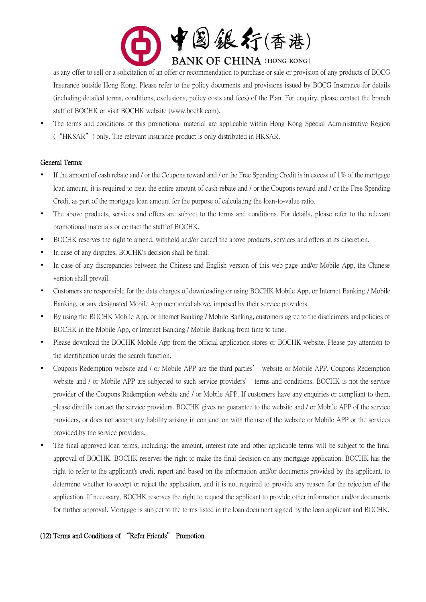

as any offer to sell or a solicitation of an offer or recommendation to purchase or sale or provision of any products of BOCG Insurance outside Hong Kong. Please refer to the policy documents and provisions issued by BOCG Insurance for details (including detailed terms, conditions, exclusions, policy costs and fees) of the Plan. For enquiry, please contact the branch staff of BOCHK or visit BOCHK website (www.bochk.com).

 The terms and conditions of this promotional material are applicable within Hong Kong Special Administrative Region ("HKSAR") only. The relevant insurance product is only distributed in HKSAR.

#### General Terms:

- If the amount of cash rebate and / or the Coupons reward and / or the Free Spending Credit is in excess of 1% of the mortgage loan amount, it is required to treat the entire amount of cash rebate and / or the Coupons reward and / or the Free Spending Credit as part of the mortgage loan amount for the purpose of calculating the loan-to-value ratio.
- The above products, services and offers are subject to the terms and conditions. For details, please refer to the relevant promotional materials or contact the staff of BOCHK.
- BOCHK reserves the right to amend, withhold and/or cancel the above products, services and offers at its discretion.
- In case of any disputes, BOCHK's decision shall be final.
- In case of any discrepancies between the Chinese and English version of this web page and/or Mobile App, the Chinese version shall prevail.
- Customers are responsible for the data charges of downloading or using BOCHK Mobile App, or Internet Banking / Mobile Banking, or any designated Mobile App mentioned above, imposed by their service providers.
- By using the BOCHK Mobile App, or Internet Banking / Mobile Banking, customers agree to the disclaimers and policies of BOCHK in the Mobile App, or Internet Banking / Mobile Banking from time to time.
- Please download the BOCHK Mobile App from the official application stores or BOCHK website. Please pay attention to the identification under the search function.
- Coupons Redemption website and / or Mobile APP are the third parties' website or Mobile APP. Coupons Redemption website and / or Mobile APP are subjected to such service providers' terms and conditions. BOCHK is not the service provider of the Coupons Redemption website and / or Mobile APP. If customers have any enquiries or compliant to them, please directly contact the service providers. BOCHK gives no guarantee to the website and / or Mobile APP of the service providers, or does not accept any liability arising in conjunction with the use of the website or Mobile APP or the services provided by the service providers.
- The final approved loan terms, including: the amount, interest rate and other applicable terms will be subject to the final approval of BOCHK. BOCHK reserves the right to make the final decision on any mortgage application. BOCHK has the right to refer to the applicant's credit report and based on the information and/or documents provided by the applicant, to determine whether to accept or reject the application, and it is not required to provide any reason for the rejection of the application. If necessary, BOCHK reserves the right to request the applicant to provide other information and/or documents for further approval. Mortgage is subject to the terms listed in the loan document signed by the loan applicant and BOCHK.

#### (12) Terms and Conditions of "Refer Friends" Promotion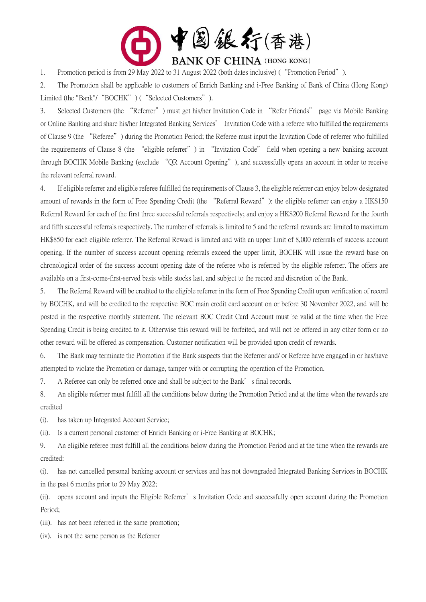

1. Promotion period is from 29 May 2022 to 31 August 2022 (both dates inclusive) ("Promotion Period").

2. The Promotion shall be applicable to customers of Enrich Banking and i-Free Banking of Bank of China (Hong Kong) Limited (the "Bank"/ "BOCHK") ( "Selected Customers").

3. Selected Customers (the "Referrer") must get his/her Invitation Code in "Refer Friends" page via Mobile Banking or Online Banking and share his/her Integrated Banking Services' Invitation Code with a referee who fulfilled the requirements of Clause 9 (the "Referee") during the Promotion Period; the Referee must input the Invitation Code of referrer who fulfilled the requirements of Clause 8 (the "eligible referrer") in "Invitation Code" field when opening a new banking account through BOCHK Mobile Banking (exclude "QR Account Opening"), and successfully opens an account in order to receive the relevant referral reward.

4. If eligible referrer and eligible referee fulfilled the requirements of Clause 3, the eligible referrer can enjoy below designated amount of rewards in the form of Free Spending Credit (the "Referral Reward"): the eligible referrer can enjoy a HK\$150 Referral Reward for each of the first three successful referrals respectively; and enjoy a HK\$200 Referral Reward for the fourth and fifth successful referrals respectively. The number of referrals is limited to 5 and the referral rewards are limited to maximum HK\$850 for each eligible referrer. The Referral Reward is limited and with an upper limit of 8,000 referrals of success account opening. If the number of success account opening referrals exceed the upper limit, BOCHK will issue the reward base on chronological order of the success account opening date of the referee who is referred by the eligible referrer. The offers are available on a first-come-first-served basis while stocks last, and subject to the record and discretion of the Bank.

5. The Referral Reward will be credited to the eligible referrer in the form of Free Spending Credit upon verification of record by BOCHK, and will be credited to the respective BOC main credit card account on or before 30 November 2022, and will be posted in the respective monthly statement. The relevant BOC Credit Card Account must be valid at the time when the Free Spending Credit is being credited to it. Otherwise this reward will be forfeited, and will not be offered in any other form or no other reward will be offered as compensation. Customer notification will be provided upon credit of rewards.

6. The Bank may terminate the Promotion if the Bank suspects that the Referrer and/ or Referee have engaged in or has/have attempted to violate the Promotion or damage, tamper with or corrupting the operation of the Promotion.

7. A Referee can only be referred once and shall be subject to the Bank's final records.

8. An eligible referrer must fulfill all the conditions below during the Promotion Period and at the time when the rewards are credited

(i). has taken up Integrated Account Service;

(ii). Is a current personal customer of Enrich Banking or i-Free Banking at BOCHK;

9. An eligible referee must fulfill all the conditions below during the Promotion Period and at the time when the rewards are credited:

(i). has not cancelled personal banking account or services and has not downgraded Integrated Banking Services in BOCHK in the past 6 months prior to 29 May 2022;

(ii). opens account and inputs the Eligible Referrer's Invitation Code and successfully open account during the Promotion Period;

(iii). has not been referred in the same promotion;

(iv). is not the same person as the Referrer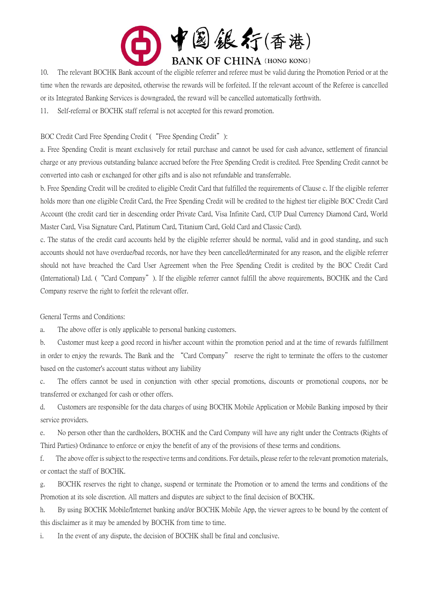

10. The relevant BOCHK Bank account of the eligible referrer and referee must be valid during the Promotion Period or at the time when the rewards are deposited, otherwise the rewards will be forfeited. If the relevant account of the Referee is cancelled or its Integrated Banking Services is downgraded, the reward will be cancelled automatically forthwith.

11. Self-referral or BOCHK staff referral is not accepted for this reward promotion.

BOC Credit Card Free Spending Credit ( "Free Spending Credit"):

a. Free Spending Credit is meant exclusively for retail purchase and cannot be used for cash advance, settlement of financial charge or any previous outstanding balance accrued before the Free Spending Credit is credited. Free Spending Credit cannot be converted into cash or exchanged for other gifts and is also not refundable and transferrable.

b. Free Spending Credit will be credited to eligible Credit Card that fulfilled the requirements of Clause c. If the eligible referrer holds more than one eligible Credit Card, the Free Spending Credit will be credited to the highest tier eligible BOC Credit Card Account (the credit card tier in descending order Private Card, Visa Infinite Card, CUP Dual Currency Diamond Card, World Master Card, Visa Signature Card, Platinum Card, Titanium Card, Gold Card and Classic Card).

c. The status of the credit card accounts held by the eligible referrer should be normal, valid and in good standing, and such accounts should not have overdue/bad records, nor have they been cancelled/terminated for any reason, and the eligible referrer should not have breached the Card User Agreement when the Free Spending Credit is credited by the BOC Credit Card (International) Ltd. ("Card Company"). If the eligible referrer cannot fulfill the above requirements, BOCHK and the Card Company reserve the right to forfeit the relevant offer.

General Terms and Conditions:

a. The above offer is only applicable to personal banking customers.

b. Customer must keep a good record in his/her account within the promotion period and at the time of rewards fulfillment in order to enjoy the rewards. The Bank and the "Card Company" reserve the right to terminate the offers to the customer based on the customer's account status without any liability

c. The offers cannot be used in conjunction with other special promotions, discounts or promotional coupons, nor be transferred or exchanged for cash or other offers.

d. Customers are responsible for the data charges of using BOCHK Mobile Application or Mobile Banking imposed by their service providers.

e. No person other than the cardholders, BOCHK and the Card Company will have any right under the Contracts (Rights of Third Parties) Ordinance to enforce or enjoy the benefit of any of the provisions of these terms and conditions.

f. The above offer is subject to the respective terms and conditions. For details, please refer to the relevant promotion materials, or contact the staff of BOCHK.

g. BOCHK reserves the right to change, suspend or terminate the Promotion or to amend the terms and conditions of the Promotion at its sole discretion. All matters and disputes are subject to the final decision of BOCHK.

h. By using BOCHK Mobile/Internet banking and/or BOCHK Mobile App, the viewer agrees to be bound by the content of this disclaimer as it may be amended by BOCHK from time to time.

i. In the event of any dispute, the decision of BOCHK shall be final and conclusive.